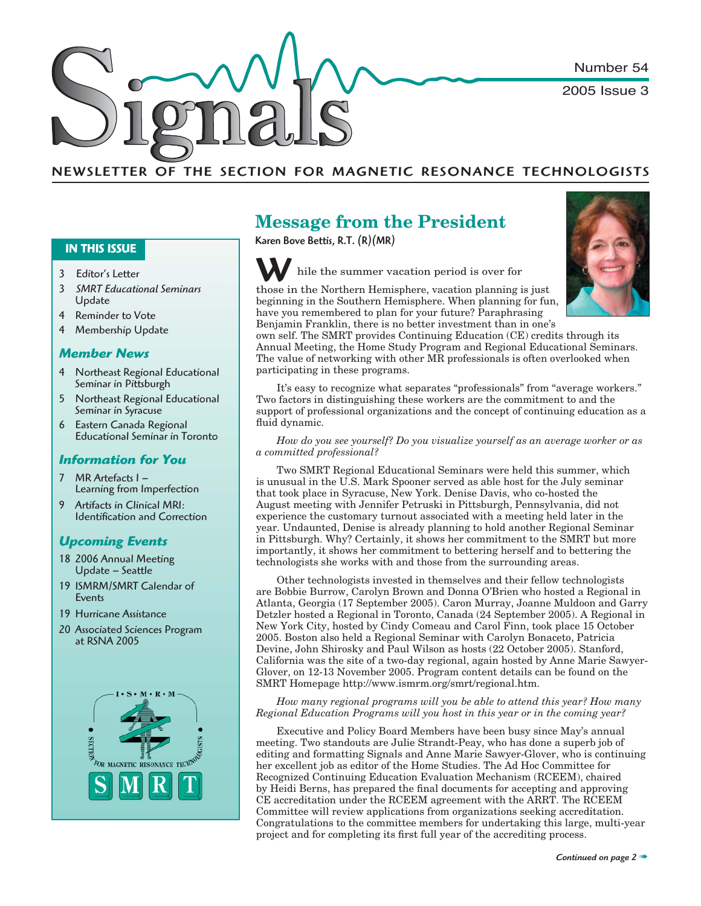Number 54

2005 Issue 3

# NEWSLETTER OF THE SECTION FOR MAGNETIC RESONANCE TECHNOLOGISTS

#### **IN THIS ISSUE**

- 3 Editor's Letter
- <sup>3</sup>*SMRT Educational Seminars* Update
- 4 Reminder to Vote
- 4 Membership Update

#### *Member News*

- 4 Northeast Regional Educational Seminar in Pittsburgh
- 5 Northeast Regional Educational Seminar in Syracuse
- 6 Eastern Canada Regional Educational Seminar in Toronto

#### *Information for You*

- 7 MR Artefacts I Learning from Imperfection
- 9 Artifacts in Clinical MRI: Identification and Correction

### *Upcoming Events*

- 18 2006 Annual Meeting Update – Seattle
- 19 ISMRM/SMRT Calendar of Events
- 19 Hurricane Assistance
- 20 Associated Sciences Program at RSNA 2005



# **Message from the President**

Karen Bove Bettis, R.T. (R)(MR)





beginning in the Southern Hemisphere. When planning for fun, have you remembered to plan for your future? Paraphrasing Benjamin Franklin, there is no better investment than in one's

own self. The SMRT provides Continuing Education (CE) credits through its Annual Meeting, the Home Study Program and Regional Educational Seminars. The value of networking with other MR professionals is often overlooked when participating in these programs.

It's easy to recognize what separates "professionals" from "average workers." Two factors in distinguishing these workers are the commitment to and the support of professional organizations and the concept of continuing education as a fluid dynamic.

*How do you see yourself? Do you visualize yourself as an average worker or as a committed professional?*

Two SMRT Regional Educational Seminars were held this summer, which is unusual in the U.S. Mark Spooner served as able host for the July seminar that took place in Syracuse, New York. Denise Davis, who co-hosted the August meeting with Jennifer Petruski in Pittsburgh, Pennsylvania, did not experience the customary turnout associated with a meeting held later in the year. Undaunted, Denise is already planning to hold another Regional Seminar in Pittsburgh. Why? Certainly, it shows her commitment to the SMRT but more importantly, it shows her commitment to bettering herself and to bettering the technologists she works with and those from the surrounding areas.

Other technologists invested in themselves and their fellow technologists are Bobbie Burrow, Carolyn Brown and Donna O'Brien who hosted a Regional in Atlanta, Georgia (17 September 2005). Caron Murray, Joanne Muldoon and Garry Detzler hosted a Regional in Toronto, Canada (24 September 2005). A Regional in New York City, hosted by Cindy Comeau and Carol Finn, took place 15 October 2005. Boston also held a Regional Seminar with Carolyn Bonaceto, Patricia Devine, John Shirosky and Paul Wilson as hosts (22 October 2005). Stanford, California was the site of a two-day regional, again hosted by Anne Marie Sawyer-Glover, on 12-13 November 2005. Program content details can be found on the SMRT Homepage http://www.ismrm.org/smrt/regional.htm.

*How many regional programs will you be able to attend this year? How many Regional Education Programs will you host in this year or in the coming year?*

Executive and Policy Board Members have been busy since May's annual meeting. Two standouts are Julie Strandt-Peay, who has done a superb job of editing and formatting Signals and Anne Marie Sawyer-Glover, who is continuing her excellent job as editor of the Home Studies. The Ad Hoc Committee for Recognized Continuing Education Evaluation Mechanism (RCEEM), chaired by Heidi Berns, has prepared the final documents for accepting and approving CE accreditation under the RCEEM agreement with the ARRT. The RCEEM Committee will review applications from organizations seeking accreditation. Congratulations to the committee members for undertaking this large, multi-year project and for completing its first full year of the accrediting process.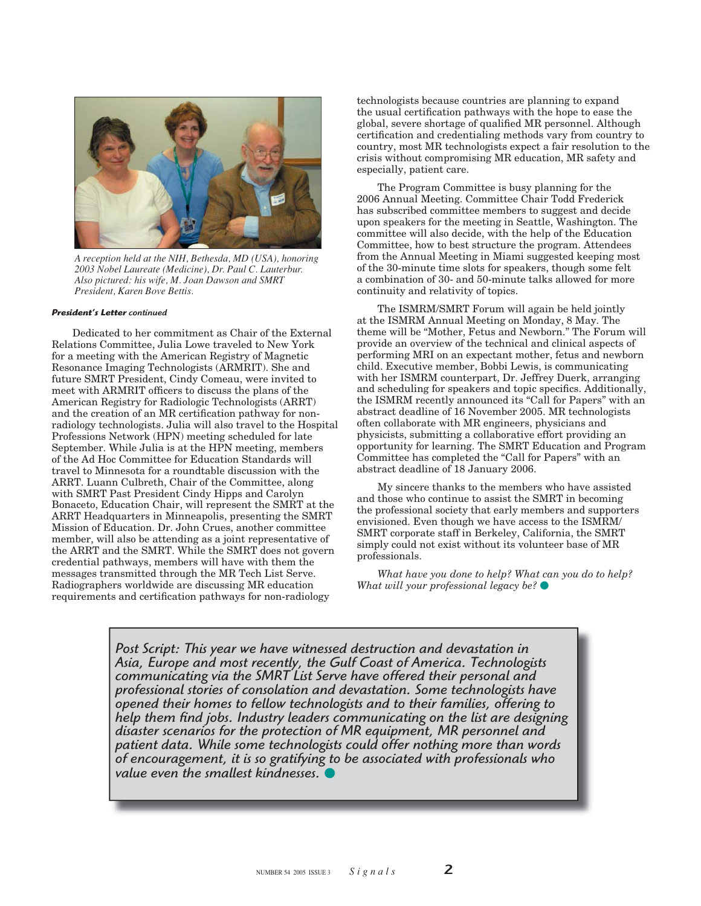

*A reception held at the NIH, Bethesda, MD (USA), honoring 2003 Nobel Laureate (Medicine), Dr. Paul C. Lauterbur. Also pictured: his wife, M. Joan Dawson and SMRT President, Karen Bove Bettis.*

#### *President's Letter continued*

Dedicated to her commitment as Chair of the External Relations Committee, Julia Lowe traveled to New York for a meeting with the American Registry of Magnetic Resonance Imaging Technologists (ARMRIT). She and future SMRT President, Cindy Comeau, were invited to meet with ARMRIT officers to discuss the plans of the American Registry for Radiologic Technologists (ARRT) and the creation of an MR certification pathway for nonradiology technologists. Julia will also travel to the Hospital Professions Network (HPN) meeting scheduled for late September. While Julia is at the HPN meeting, members of the Ad Hoc Committee for Education Standards will travel to Minnesota for a roundtable discussion with the ARRT. Luann Culbreth, Chair of the Committee, along with SMRT Past President Cindy Hipps and Carolyn Bonaceto, Education Chair, will represent the SMRT at the ARRT Headquarters in Minneapolis, presenting the SMRT Mission of Education. Dr. John Crues, another committee member, will also be attending as a joint representative of the ARRT and the SMRT. While the SMRT does not govern credential pathways, members will have with them the messages transmitted through the MR Tech List Serve. Radiographers worldwide are discussing MR education requirements and certification pathways for non-radiology

technologists because countries are planning to expand the usual certification pathways with the hope to ease the global, severe shortage of qualified MR personnel. Although certification and credentialing methods vary from country to country, most MR technologists expect a fair resolution to the crisis without compromising MR education, MR safety and especially, patient care.

The Program Committee is busy planning for the 2006 Annual Meeting. Committee Chair Todd Frederick has subscribed committee members to suggest and decide upon speakers for the meeting in Seattle, Washington. The committee will also decide, with the help of the Education Committee, how to best structure the program. Attendees from the Annual Meeting in Miami suggested keeping most of the 30-minute time slots for speakers, though some felt a combination of 30- and 50-minute talks allowed for more continuity and relativity of topics.

The ISMRM/SMRT Forum will again be held jointly at the ISMRM Annual Meeting on Monday, 8 May. The theme will be "Mother, Fetus and Newborn." The Forum will provide an overview of the technical and clinical aspects of performing MRI on an expectant mother, fetus and newborn child. Executive member, Bobbi Lewis, is communicating with her ISMRM counterpart, Dr. Jeffrey Duerk, arranging and scheduling for speakers and topic specifics. Additionally, the ISMRM recently announced its "Call for Papers" with an abstract deadline of 16 November 2005. MR technologists often collaborate with MR engineers, physicians and physicists, submitting a collaborative effort providing an opportunity for learning. The SMRT Education and Program Committee has completed the "Call for Papers" with an abstract deadline of 18 January 2006.

My sincere thanks to the members who have assisted and those who continue to assist the SMRT in becoming the professional society that early members and supporters envisioned. Even though we have access to the ISMRM/ SMRT corporate staff in Berkeley, California, the SMRT simply could not exist without its volunteer base of MR professionals.

*What have you done to help? What can you do to help? What will your professional legacy be?* 

Post Script: This year we have witnessed destruction and devastation in *Asia, Europe and most recently, the Gulf Coast of America. Technologists communicating via the SMRT List Serve have offered their personal and professional stories of consolation and devastation. Some technologists have opened their homes to fellow technologists and to their families, offering to help them fi nd jobs. Industry leaders communicating on the list are designing disaster scenarios for the protection of MR equipment, MR personnel and patient data. While some technologists could offer nothing more than words of encouragement, it is so gratifying to be associated with professionals who value even the smallest kindnesses.*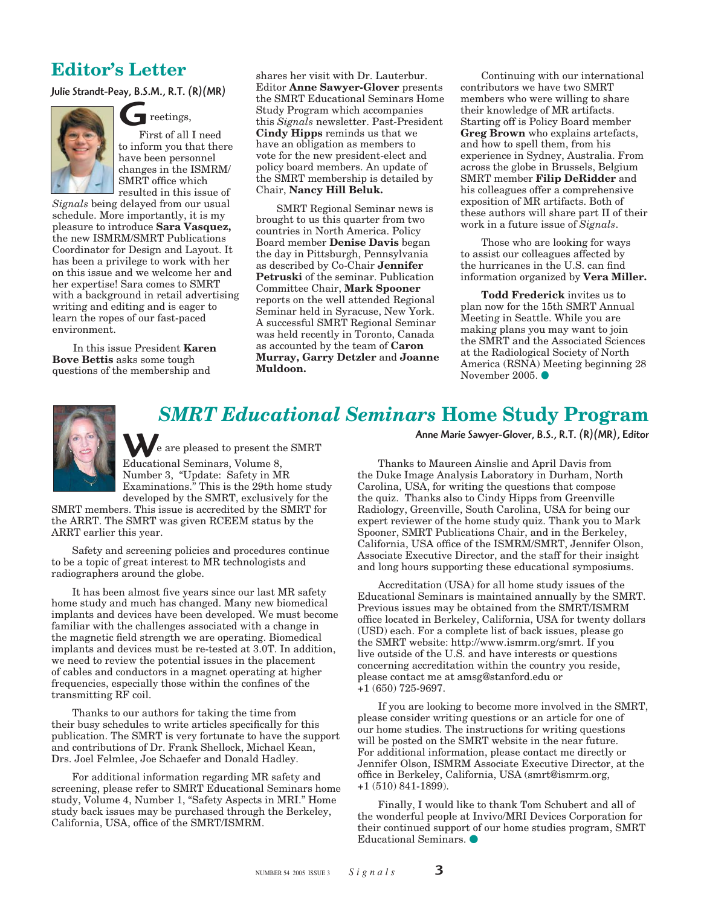# **Editor's Letter**

Julie Strandt-Peay, B.S.M., R.T. (R)(MR)



settings,

First of all I need to inform you that there have been personnel changes in the ISMRM/ SMRT office which resulted in this issue of  $\overline{\mathsf{G}}$ 

*Signals* being delayed from our usual schedule. More importantly, it is my pleasure to introduce **Sara Vasquez,** the new ISMRM/SMRT Publications Coordinator for Design and Layout. It has been a privilege to work with her on this issue and we welcome her and her expertise! Sara comes to SMRT with a background in retail advertising writing and editing and is eager to learn the ropes of our fast-paced environment.

In this issue President **Karen Bove Bettis** asks some tough questions of the membership and

shares her visit with Dr. Lauterbur. Editor **Anne Sawyer-Glover** presents the SMRT Educational Seminars Home Study Program which accompanies this *Signals* newsletter. Past-President **Cindy Hipps** reminds us that we have an obligation as members to vote for the new president-elect and policy board members. An update of the SMRT membership is detailed by Chair, **Nancy Hill Beluk.**

SMRT Regional Seminar news is brought to us this quarter from two countries in North America. Policy Board member **Denise Davis** began the day in Pittsburgh, Pennsylvania as described by Co-Chair **Jennifer Petruski** of the seminar. Publication Committee Chair, **Mark Spooner**  reports on the well attended Regional Seminar held in Syracuse, New York. A successful SMRT Regional Seminar was held recently in Toronto, Canada as accounted by the team of **Caron Murray, Garry Detzler** and **Joanne Muldoon.**

Continuing with our international contributors we have two SMRT members who were willing to share their knowledge of MR artifacts. Starting off is Policy Board member **Greg Brown** who explains artefacts, and how to spell them, from his experience in Sydney, Australia. From across the globe in Brussels, Belgium SMRT member **Filip DeRidder** and his colleagues offer a comprehensive exposition of MR artifacts. Both of these authors will share part II of their work in a future issue of *Signals*.

Those who are looking for ways to assist our colleagues affected by the hurricanes in the U.S. can find information organized by **Vera Miller.**

**Todd Frederick** invites us to plan now for the 15th SMRT Annual Meeting in Seattle. While you are making plans you may want to join the SMRT and the Associated Sciences at the Radiological Society of North America (RSNA) Meeting beginning 28 November 2005.



# *SMRT Educational Seminars* **Home Study Program**

Anne Marie Sawyer-Glover, B.S., R.T. (R)(MR), Editor

Educational Seminars, Volume 8, Number 3, "Update: Safety in MR Examinations." This is the 29th home study developed by the SMRT, exclusively for the Anne Marie Sawyer-Glover, B.S., R.T. (R) (MR)<br>Educational Seminars, Volume 8, Thanks to Maureen Ainslie and April Davis from

e are pleased to present the SMRT

SMRT members. This issue is accredited by the SMRT for the ARRT. The SMRT was given RCEEM status by the ARRT earlier this year.

Safety and screening policies and procedures continue to be a topic of great interest to MR technologists and radiographers around the globe.

It has been almost five years since our last MR safety home study and much has changed. Many new biomedical implants and devices have been developed. We must become familiar with the challenges associated with a change in the magnetic field strength we are operating. Biomedical implants and devices must be re-tested at 3.0T. In addition, we need to review the potential issues in the placement of cables and conductors in a magnet operating at higher frequencies, especially those within the confines of the transmitting RF coil.

Thanks to our authors for taking the time from their busy schedules to write articles specifically for this publication. The SMRT is very fortunate to have the support and contributions of Dr. Frank Shellock, Michael Kean, Drs. Joel Felmlee, Joe Schaefer and Donald Hadley.

For additional information regarding MR safety and screening, please refer to SMRT Educational Seminars home study, Volume 4, Number 1, "Safety Aspects in MRI." Home study back issues may be purchased through the Berkeley, California, USA, office of the SMRT/ISMRM.

the Duke Image Analysis Laboratory in Durham, North Carolina, USA, for writing the questions that compose the quiz. Thanks also to Cindy Hipps from Greenville Radiology, Greenville, South Carolina, USA for being our expert reviewer of the home study quiz. Thank you to Mark Spooner, SMRT Publications Chair, and in the Berkeley, California, USA office of the ISMRM/SMRT, Jennifer Olson, Associate Executive Director, and the staff for their insight and long hours supporting these educational symposiums.

Accreditation (USA) for all home study issues of the Educational Seminars is maintained annually by the SMRT. Previous issues may be obtained from the SMRT/ISMRM office located in Berkeley, California, USA for twenty dollars (USD) each. For a complete list of back issues, please go the SMRT website: http://www.ismrm.org/smrt. If you live outside of the U.S. and have interests or questions concerning accreditation within the country you reside, please contact me at amsg@stanford.edu or +1 (650) 725-9697.

If you are looking to become more involved in the SMRT, please consider writing questions or an article for one of our home studies. The instructions for writing questions will be posted on the SMRT website in the near future. For additional information, please contact me directly or Jennifer Olson, ISMRM Associate Executive Director, at the office in Berkeley, California, USA (smrt@ismrm.org, +1 (510) 841-1899).

Finally, I would like to thank Tom Schubert and all of the wonderful people at Invivo/MRI Devices Corporation for their continued support of our home studies program, SMRT Educational Seminars.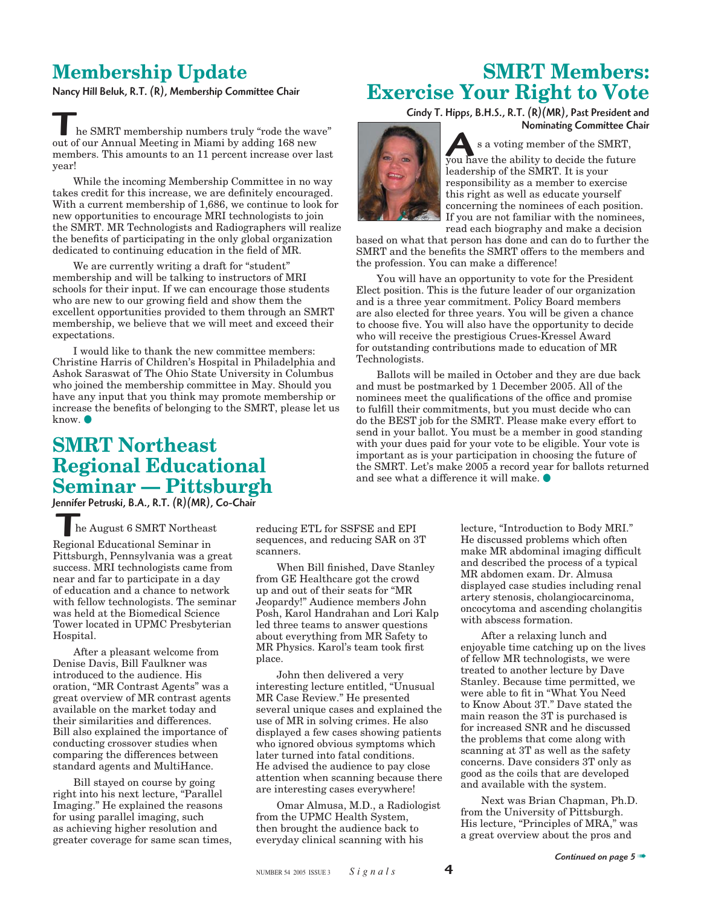# **Membership Update**

Nancy Hill Beluk, R.T. (R), Membership Committee Chair

# **SMRT Members: Exercise Your Right to Vote**

Cindy T. Hipps, B.H.S., R.T. (R)(MR), Past President and

s a voting member of the SMRT,

Nominating Committee Chair

Nominating Committee Ch<br>
you have the ability to decide the future<br>
Function of the SMRT, we have the ability to decide the future leadership of the SMRT. It is your responsibility as a member to exercise this right as well as educate yourself concerning the nominees of each position. If you are not familiar with the nominees, read each biography and make a decision

based on what that person has done and can do to further the SMRT and the benefits the SMRT offers to the members and the profession. You can make a difference!

You will have an opportunity to vote for the President Elect position. This is the future leader of our organization and is a three year commitment. Policy Board members are also elected for three years. You will be given a chance to choose five. You will also have the opportunity to decide who will receive the prestigious Crues-Kressel Award for outstanding contributions made to education of MR Technologists.

Ballots will be mailed in October and they are due back and must be postmarked by 1 December 2005. All of the nominees meet the qualifications of the office and promise to fulfill their commitments, but you must decide who can do the BEST job for the SMRT. Please make every effort to send in your ballot. You must be a member in good standing with your dues paid for your vote to be eligible. Your vote is important as is your participation in choosing the future of the SMRT. Let's make 2005 a record year for ballots returned and see what a difference it will make.

#### he SMRT membership numbers truly "rode the wave" out of our Annual Meeting in Miami by adding 168 new members. This amounts to an 11 percent increase over last year!

While the incoming Membership Committee in no way takes credit for this increase, we are definitely encouraged. With a current membership of 1,686, we continue to look for new opportunities to encourage MRI technologists to join the SMRT. MR Technologists and Radiographers will realize the benefits of participating in the only global organization dedicated to continuing education in the field of MR.

We are currently writing a draft for "student" membership and will be talking to instructors of MRI schools for their input. If we can encourage those students who are new to our growing field and show them the excellent opportunities provided to them through an SMRT membership, we believe that we will meet and exceed their expectations.

I would like to thank the new committee members: Christine Harris of Children's Hospital in Philadelphia and Ashok Saraswat of The Ohio State University in Columbus who joined the membership committee in May. Should you have any input that you think may promote membership or increase the benefits of belonging to the SMRT, please let us know.  $\bullet$ 

# **SMRT Northeast Regional Educational Seminar — Pittsburgh**

Jennifer Petruski, B.A., R.T. (R)(MR), Co-Chair

#### he August 6 SMRT Northeast

EMINET PERBISKI, B.A., K.I. (K)(PIN),<br>Regional Educational Seminar in Pittsburgh, Pennsylvania was a great success. MRI technologists came from near and far to participate in a day of education and a chance to network with fellow technologists. The seminar was held at the Biomedical Science Tower located in UPMC Presbyterian Hospital.

After a pleasant welcome from Denise Davis, Bill Faulkner was introduced to the audience. His oration, "MR Contrast Agents" was a great overview of MR contrast agents available on the market today and their similarities and differences. Bill also explained the importance of conducting crossover studies when comparing the differences between standard agents and MultiHance.

Bill stayed on course by going right into his next lecture, "Parallel Imaging." He explained the reasons for using parallel imaging, such as achieving higher resolution and greater coverage for same scan times, reducing ETL for SSFSE and EPI sequences, and reducing SAR on 3T scanners.

When Bill finished, Dave Stanley from GE Healthcare got the crowd up and out of their seats for "MR Jeopardy!" Audience members John Posh, Karol Handrahan and Lori Kalp led three teams to answer questions about everything from MR Safety to MR Physics. Karol's team took first place.

John then delivered a very interesting lecture entitled, "Unusual MR Case Review." He presented several unique cases and explained the use of MR in solving crimes. He also displayed a few cases showing patients who ignored obvious symptoms which later turned into fatal conditions. He advised the audience to pay close attention when scanning because there are interesting cases everywhere!

Omar Almusa, M.D., a Radiologist from the UPMC Health System, then brought the audience back to everyday clinical scanning with his

lecture, "Introduction to Body MRI." He discussed problems which often make MR abdominal imaging difficult and described the process of a typical MR abdomen exam. Dr. Almusa displayed case studies including renal artery stenosis, cholangiocarcinoma, oncocytoma and ascending cholangitis with abscess formation.

After a relaxing lunch and enjoyable time catching up on the lives of fellow MR technologists, we were treated to another lecture by Dave Stanley. Because time permitted, we were able to fit in "What You Need to Know About 3T." Dave stated the main reason the 3T is purchased is for increased SNR and he discussed the problems that come along with scanning at 3T as well as the safety concerns. Dave considers 3T only as good as the coils that are developed and available with the system.

Next was Brian Chapman, Ph.D. from the University of Pittsburgh. His lecture, "Principles of MRA," was a great overview about the pros and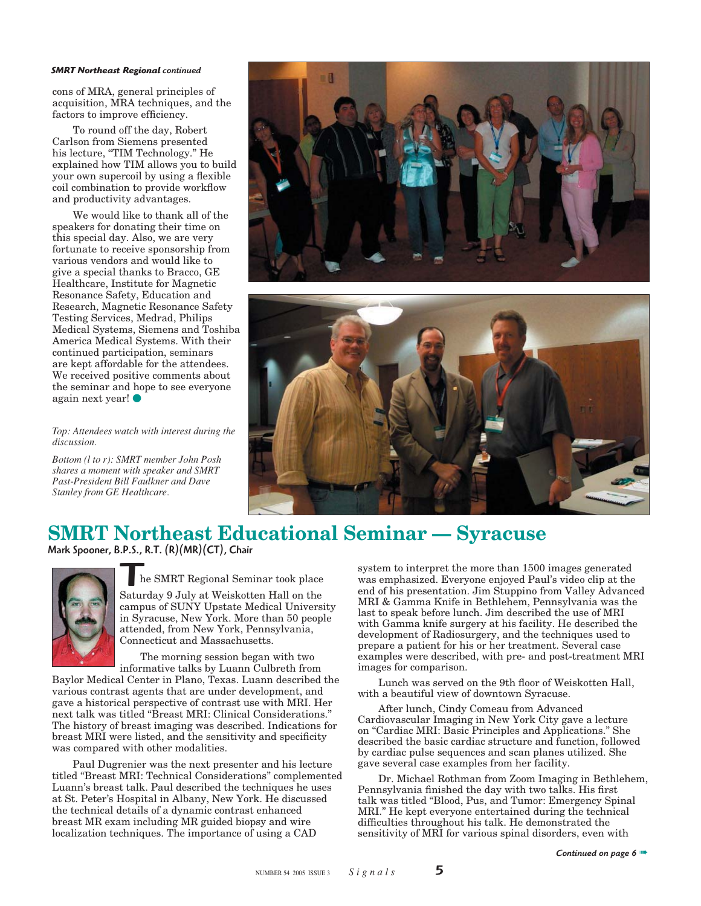#### *SMRT Northeast Regional continued*

cons of MRA, general principles of acquisition, MRA techniques, and the factors to improve efficiency.

To round off the day, Robert Carlson from Siemens presented his lecture, "TIM Technology." He explained how TIM allows you to build your own supercoil by using a flexible coil combination to provide workflow and productivity advantages.

We would like to thank all of the speakers for donating their time on this special day. Also, we are very fortunate to receive sponsorship from various vendors and would like to give a special thanks to Bracco, GE Healthcare, Institute for Magnetic Resonance Safety, Education and Research, Magnetic Resonance Safety Testing Services, Medrad, Philips Medical Systems, Siemens and Toshiba America Medical Systems. With their continued participation, seminars are kept affordable for the attendees. We received positive comments about the seminar and hope to see everyone again next year!

*Top: Attendees watch with interest during the discussion.*

*Bottom (l to r): SMRT member John Posh shares a moment with speaker and SMRT Past-President Bill Faulkner and Dave Stanley from GE Healthcare.*





# **SMRT Northeast Educational Seminar — Syracuse** Mark Spooner, B.P.S., R.T. (R)(MR)(CT), Chair



he SMRT Regional Seminar took place

The SMRT Regional Seminar took place<br>Saturday 9 July at Weiskotten Hall on the campus of SUNY Upstate Medical University in Syracuse, New York. More than 50 people attended, from New York, Pennsylvania, Connecticut and Massachusetts.

The morning session began with two informative talks by Luann Culbreth from

Baylor Medical Center in Plano, Texas. Luann described the various contrast agents that are under development, and gave a historical perspective of contrast use with MRI. Her next talk was titled "Breast MRI: Clinical Considerations." The history of breast imaging was described. Indications for breast MRI were listed, and the sensitivity and specificity was compared with other modalities.

Paul Dugrenier was the next presenter and his lecture titled "Breast MRI: Technical Considerations" complemented Luann's breast talk. Paul described the techniques he uses at St. Peter's Hospital in Albany, New York. He discussed the technical details of a dynamic contrast enhanced breast MR exam including MR guided biopsy and wire localization techniques. The importance of using a CAD

system to interpret the more than 1500 images generated was emphasized. Everyone enjoyed Paul's video clip at the end of his presentation. Jim Stuppino from Valley Advanced MRI & Gamma Knife in Bethlehem, Pennsylvania was the last to speak before lunch. Jim described the use of MRI with Gamma knife surgery at his facility. He described the development of Radiosurgery, and the techniques used to prepare a patient for his or her treatment. Several case examples were described, with pre- and post-treatment MRI images for comparison.

Lunch was served on the 9th floor of Weiskotten Hall, with a beautiful view of downtown Syracuse.

After lunch, Cindy Comeau from Advanced Cardiovascular Imaging in New York City gave a lecture on "Cardiac MRI: Basic Principles and Applications." She described the basic cardiac structure and function, followed by cardiac pulse sequences and scan planes utilized. She gave several case examples from her facility.

Dr. Michael Rothman from Zoom Imaging in Bethlehem, Pennsylvania finished the day with two talks. His first talk was titled "Blood, Pus, and Tumor: Emergency Spinal MRI." He kept everyone entertained during the technical difficulties throughout his talk. He demonstrated the sensitivity of MRI for various spinal disorders, even with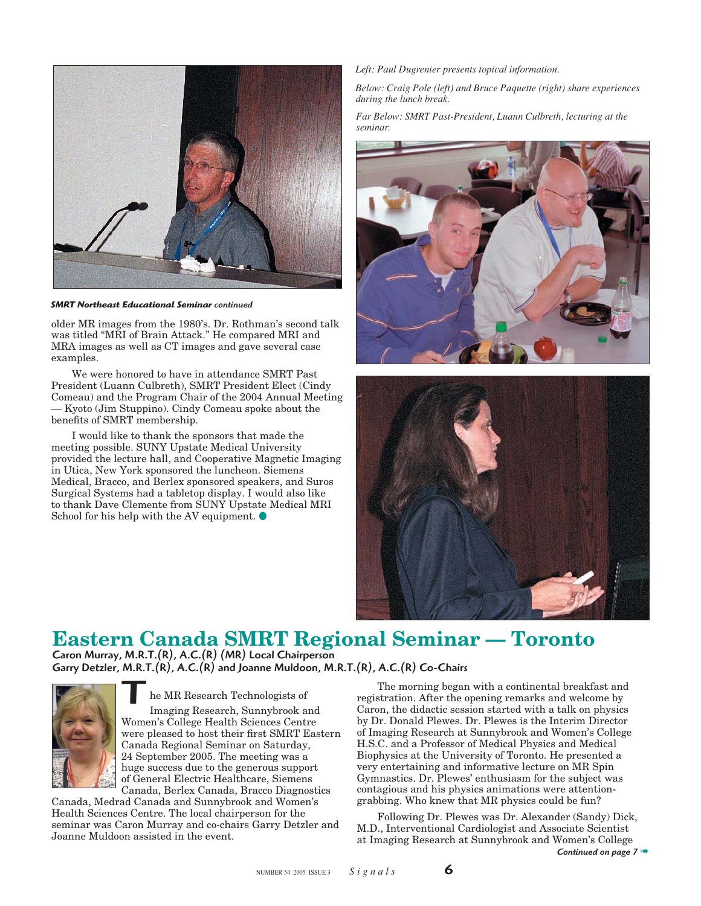

*SMRT Northeast Educational Seminar continued* 

older MR images from the 1980's. Dr. Rothman's second talk was titled "MRI of Brain Attack." He compared MRI and MRA images as well as CT images and gave several case examples.

We were honored to have in attendance SMRT Past President (Luann Culbreth), SMRT President Elect (Cindy Comeau) and the Program Chair of the 2004 Annual Meeting — Kyoto (Jim Stuppino). Cindy Comeau spoke about the benefits of SMRT membership.

I would like to thank the sponsors that made the meeting possible. SUNY Upstate Medical University provided the lecture hall, and Cooperative Magnetic Imaging in Utica, New York sponsored the luncheon. Siemens Medical, Bracco, and Berlex sponsored speakers, and Suros Surgical Systems had a tabletop display. I would also like to thank Dave Clemente from SUNY Upstate Medical MRI School for his help with the AV equipment.  $\bullet$ 

#### *Left: Paul Dugrenier presents topical information.*

*Below: Craig Pole (left) and Bruce Paquette (right) share experiences during the lunch break.*

*Far Below: SMRT Past-President, Luann Culbreth, lecturing at the seminar.*





# **Eastern Canada SMRT Regional Seminar — Toronto**

Caron Murray, M.R.T.(R), A.C.(R) (MR) Local Chairperson Garry Detzler, M.R.T.(R), A.C.(R) and Joanne Muldoon, M.R.T.(R), A.C.(R) Co-Chairs



he MR Research Technologists of Imaging Research, Sunnybrook and Women's College Health Sciences Centre were pleased to host their first SMRT Eastern Canada Regional Seminar on Saturday, 24 September 2005. The meeting was a huge success due to the generous support of General Electric Healthcare, Siemens Canada, Berlex Canada, Bracco Diagnostics **T** 

Canada, Medrad Canada and Sunnybrook and Women's Health Sciences Centre. The local chairperson for the seminar was Caron Murray and co-chairs Garry Detzler and Joanne Muldoon assisted in the event.

The morning began with a continental breakfast and registration. After the opening remarks and welcome by Caron, the didactic session started with a talk on physics by Dr. Donald Plewes. Dr. Plewes is the Interim Director of Imaging Research at Sunnybrook and Women's College H.S.C. and a Professor of Medical Physics and Medical Biophysics at the University of Toronto. He presented a very entertaining and informative lecture on MR Spin Gymnastics. Dr. Plewes' enthusiasm for the subject was contagious and his physics animations were attentiongrabbing. Who knew that MR physics could be fun?

Following Dr. Plewes was Dr. Alexander (Sandy) Dick, M.D., Interventional Cardiologist and Associate Scientist at Imaging Research at Sunnybrook and Women's College

*Continued on page 7* ➠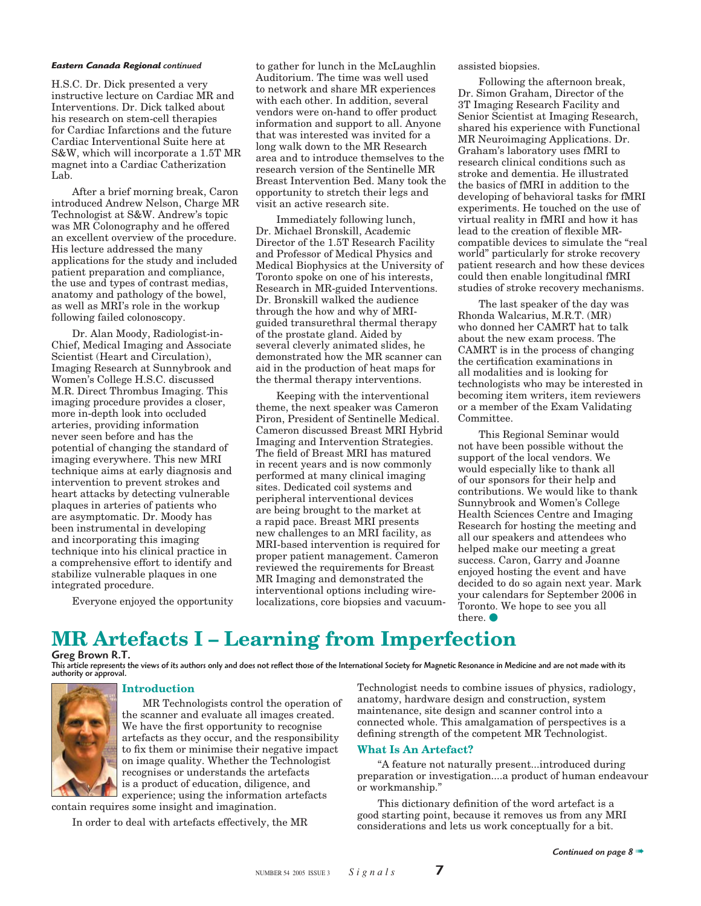H.S.C. Dr. Dick presented a very instructive lecture on Cardiac MR and Interventions. Dr. Dick talked about his research on stem-cell therapies for Cardiac Infarctions and the future Cardiac Interventional Suite here at S&W, which will incorporate a 1.5T MR magnet into a Cardiac Catherization Lab.

After a brief morning break, Caron introduced Andrew Nelson, Charge MR Technologist at S&W. Andrew's topic was MR Colonography and he offered an excellent overview of the procedure. His lecture addressed the many applications for the study and included patient preparation and compliance, the use and types of contrast medias, anatomy and pathology of the bowel, as well as MRI's role in the workup following failed colonoscopy.

Dr. Alan Moody, Radiologist-in-Chief, Medical Imaging and Associate Scientist (Heart and Circulation), Imaging Research at Sunnybrook and Women's College H.S.C. discussed M.R. Direct Thrombus Imaging. This imaging procedure provides a closer, more in-depth look into occluded arteries, providing information never seen before and has the potential of changing the standard of imaging everywhere. This new MRI technique aims at early diagnosis and intervention to prevent strokes and heart attacks by detecting vulnerable plaques in arteries of patients who are asymptomatic. Dr. Moody has been instrumental in developing and incorporating this imaging technique into his clinical practice in a comprehensive effort to identify and stabilize vulnerable plaques in one integrated procedure.

Everyone enjoyed the opportunity

**Eastern Canada Regional** continued a state to gather for lunch in the McLaughlin assisted biopsies. Auditorium. The time was well used to network and share MR experiences with each other. In addition, several vendors were on-hand to offer product information and support to all. Anyone that was interested was invited for a long walk down to the MR Research area and to introduce themselves to the research version of the Sentinelle MR Breast Intervention Bed. Many took the opportunity to stretch their legs and visit an active research site.

> Immediately following lunch, Dr. Michael Bronskill, Academic Director of the 1.5T Research Facility and Professor of Medical Physics and Medical Biophysics at the University of Toronto spoke on one of his interests, Research in MR-guided Interventions. Dr. Bronskill walked the audience through the how and why of MRIguided transurethral thermal therapy of the prostate gland. Aided by several cleverly animated slides, he demonstrated how the MR scanner can aid in the production of heat maps for the thermal therapy interventions.

> Keeping with the interventional theme, the next speaker was Cameron Piron, President of Sentinelle Medical. Cameron discussed Breast MRI Hybrid Imaging and Intervention Strategies. The field of Breast MRI has matured in recent years and is now commonly performed at many clinical imaging sites. Dedicated coil systems and peripheral interventional devices are being brought to the market at a rapid pace. Breast MRI presents new challenges to an MRI facility, as MRI-based intervention is required for proper patient management. Cameron reviewed the requirements for Breast MR Imaging and demonstrated the interventional options including wirelocalizations, core biopsies and vacuum-

Following the afternoon break, Dr. Simon Graham, Director of the 3T Imaging Research Facility and Senior Scientist at Imaging Research, shared his experience with Functional MR Neuroimaging Applications. Dr. Graham's laboratory uses fMRI to research clinical conditions such as stroke and dementia. He illustrated the basics of fMRI in addition to the developing of behavioral tasks for fMRI experiments. He touched on the use of virtual reality in fMRI and how it has lead to the creation of flexible MRcompatible devices to simulate the "real world" particularly for stroke recovery patient research and how these devices could then enable longitudinal fMRI studies of stroke recovery mechanisms.

The last speaker of the day was Rhonda Walcarius, M.R.T. (MR) who donned her CAMRT hat to talk about the new exam process. The CAMRT is in the process of changing the certification examinations in all modalities and is looking for technologists who may be interested in becoming item writers, item reviewers or a member of the Exam Validating Committee.

This Regional Seminar would not have been possible without the support of the local vendors. We would especially like to thank all of our sponsors for their help and contributions. We would like to thank Sunnybrook and Women's College Health Sciences Centre and Imaging Research for hosting the meeting and all our speakers and attendees who helped make our meeting a great success. Caron, Garry and Joanne enjoyed hosting the event and have decided to do so again next year. Mark your calendars for September 2006 in Toronto. We hope to see you all there.  $\bullet$ 

# **MR Artefacts I – Learning from Imperfection**

#### Greg Brown R.T.

This article represents the views of its authors only and does not reflect those of the International Society for Magnetic Resonance in Medicine and are not made with its authority or approval.



#### **Introduction**

MR Technologists control the operation of the scanner and evaluate all images created. We have the first opportunity to recognise artefacts as they occur, and the responsibility to fix them or minimise their negative impact on image quality. Whether the Technologist recognises or understands the artefacts is a product of education, diligence, and experience; using the information artefacts

contain requires some insight and imagination.

In order to deal with artefacts effectively, the MR

Technologist needs to combine issues of physics, radiology, anatomy, hardware design and construction, system maintenance, site design and scanner control into a connected whole. This amalgamation of perspectives is a defining strength of the competent MR Technologist.

#### **What Is An Artefact?**

"A feature not naturally present...introduced during preparation or investigation....a product of human endeavour or workmanship."

This dictionary definition of the word artefact is a good starting point, because it removes us from any MRI considerations and lets us work conceptually for a bit.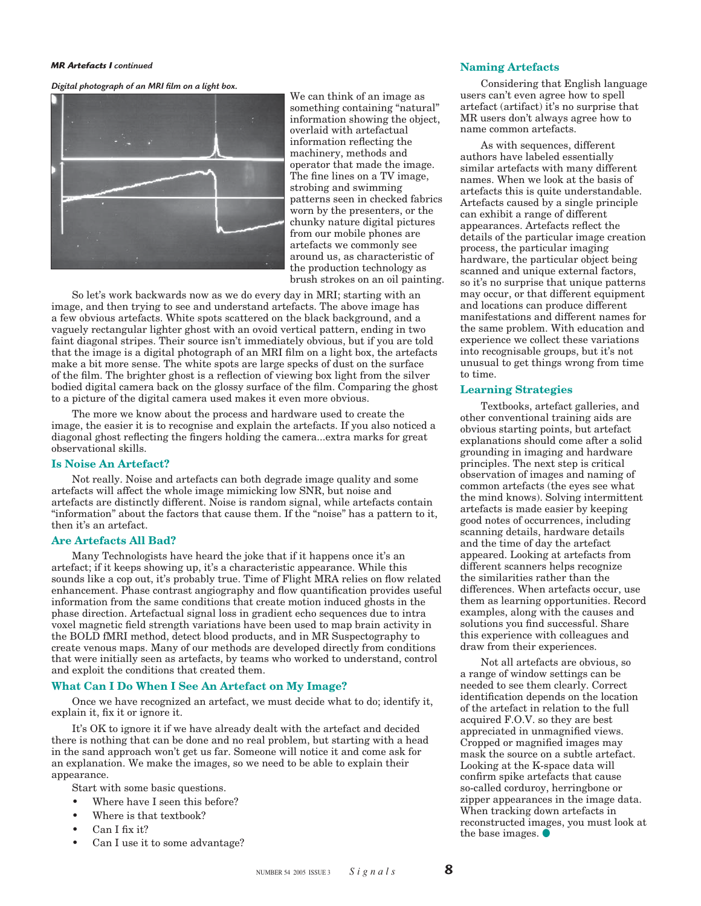#### *MR Artefacts I continued*

Digital photograph of an MRI film on a light box.



We can think of an image as something containing "natural" information showing the object, overlaid with artefactual information reflecting the machinery, methods and operator that made the image. The fine lines on a TV image, strobing and swimming patterns seen in checked fabrics worn by the presenters, or the chunky nature digital pictures from our mobile phones are artefacts we commonly see around us, as characteristic of the production technology as brush strokes on an oil painting.

So let's work backwards now as we do every day in MRI; starting with an image, and then trying to see and understand artefacts. The above image has a few obvious artefacts. White spots scattered on the black background, and a vaguely rectangular lighter ghost with an ovoid vertical pattern, ending in two faint diagonal stripes. Their source isn't immediately obvious, but if you are told that the image is a digital photograph of an MRI film on a light box, the artefacts make a bit more sense. The white spots are large specks of dust on the surface of the film. The brighter ghost is a reflection of viewing box light from the silver bodied digital camera back on the glossy surface of the film. Comparing the ghost to a picture of the digital camera used makes it even more obvious.

The more we know about the process and hardware used to create the image, the easier it is to recognise and explain the artefacts. If you also noticed a diagonal ghost reflecting the fingers holding the camera...extra marks for great observational skills.

#### **Is Noise An Artefact?**

Not really. Noise and artefacts can both degrade image quality and some artefacts will affect the whole image mimicking low SNR, but noise and artefacts are distinctly different. Noise is random signal, while artefacts contain "information" about the factors that cause them. If the "noise" has a pattern to it, then it's an artefact.

#### **Are Artefacts All Bad?**

Many Technologists have heard the joke that if it happens once it's an artefact; if it keeps showing up, it's a characteristic appearance. While this sounds like a cop out, it's probably true. Time of Flight MRA relies on flow related enhancement. Phase contrast angiography and flow quantification provides useful information from the same conditions that create motion induced ghosts in the phase direction. Artefactual signal loss in gradient echo sequences due to intra voxel magnetic field strength variations have been used to map brain activity in the BOLD fMRI method, detect blood products, and in MR Suspectography to create venous maps. Many of our methods are developed directly from conditions that were initially seen as artefacts, by teams who worked to understand, control and exploit the conditions that created them.

#### **What Can I Do When I See An Artefact on My Image?**

Once we have recognized an artefact, we must decide what to do; identify it, explain it, fix it or ignore it.

It's OK to ignore it if we have already dealt with the artefact and decided there is nothing that can be done and no real problem, but starting with a head in the sand approach won't get us far. Someone will notice it and come ask for an explanation. We make the images, so we need to be able to explain their appearance.

Start with some basic questions.

- Where have I seen this before?
- Where is that textbook?
- Can I fix it?
- Can I use it to some advantage?

#### **Naming Artefacts**

Considering that English language users can't even agree how to spell artefact (artifact) it's no surprise that MR users don't always agree how to name common artefacts.

As with sequences, different authors have labeled essentially similar artefacts with many different names. When we look at the basis of artefacts this is quite understandable. Artefacts caused by a single principle can exhibit a range of different appearances. Artefacts reflect the details of the particular image creation process, the particular imaging hardware, the particular object being scanned and unique external factors, so it's no surprise that unique patterns may occur, or that different equipment and locations can produce different manifestations and different names for the same problem. With education and experience we collect these variations into recognisable groups, but it's not unusual to get things wrong from time to time.

#### **Learning Strategies**

Textbooks, artefact galleries, and other conventional training aids are obvious starting points, but artefact explanations should come after a solid grounding in imaging and hardware principles. The next step is critical observation of images and naming of common artefacts (the eyes see what the mind knows). Solving intermittent artefacts is made easier by keeping good notes of occurrences, including scanning details, hardware details and the time of day the artefact appeared. Looking at artefacts from different scanners helps recognize the similarities rather than the differences. When artefacts occur, use them as learning opportunities. Record examples, along with the causes and solutions you find successful. Share this experience with colleagues and draw from their experiences.

Not all artefacts are obvious, so a range of window settings can be needed to see them clearly. Correct identification depends on the location of the artefact in relation to the full acquired F.O.V. so they are best appreciated in unmagnified views. Cropped or magnified images may mask the source on a subtle artefact. Looking at the K-space data will confirm spike artefacts that cause so-called corduroy, herringbone or zipper appearances in the image data. When tracking down artefacts in reconstructed images, you must look at the base images.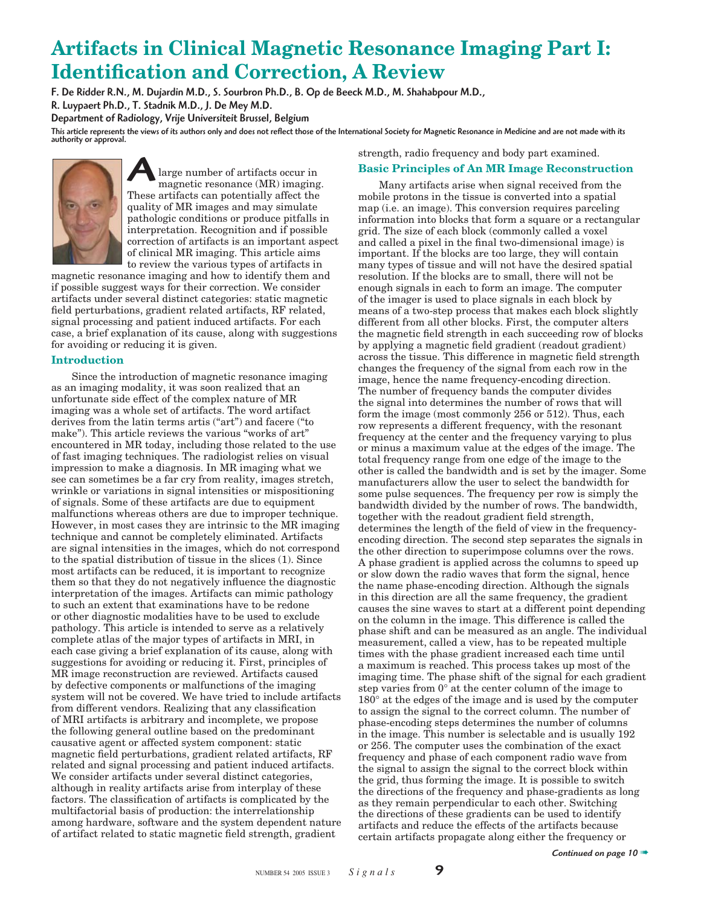# **Artifacts in Clinical Magnetic Resonance Imaging Part I: Identification and Correction, A Review**

F. De Ridder R.N., M. Dujardin M.D., S. Sourbron Ph.D., B. Op de Beeck M.D., M. Shahabpour M.D.,

R. Luypaert Ph.D., T. Stadnik M.D., J. De Mey M.D.

Department of Radiology, Vrije Universiteit Brussel, Belgium

This article represents the views of its authors only and does not reflect those of the International Society for Magnetic Resonance in Medicine and are not made with its<br>authority or approval.



 large number of artifacts occur in magnetic resonance (MR) imaging. These artifacts can potentially affect the quality of MR images and may simulate pathologic conditions or produce pitfalls in interpretation. Recognition and if possible correction of artifacts is an important aspect of clinical MR imaging. This article aims to review the various types of artifacts in A

magnetic resonance imaging and how to identify them and if possible suggest ways for their correction. We consider artifacts under several distinct categories: static magnetic field perturbations, gradient related artifacts, RF related, signal processing and patient induced artifacts. For each case, a brief explanation of its cause, along with suggestions for avoiding or reducing it is given.

#### **Introduction**

Since the introduction of magnetic resonance imaging as an imaging modality, it was soon realized that an unfortunate side effect of the complex nature of MR imaging was a whole set of artifacts. The word artifact derives from the latin terms artis ("art") and facere ("to make"). This article reviews the various "works of art" encountered in MR today, including those related to the use of fast imaging techniques. The radiologist relies on visual impression to make a diagnosis. In MR imaging what we see can sometimes be a far cry from reality, images stretch, wrinkle or variations in signal intensities or mispositioning of signals. Some of these artifacts are due to equipment malfunctions whereas others are due to improper technique. However, in most cases they are intrinsic to the MR imaging technique and cannot be completely eliminated. Artifacts are signal intensities in the images, which do not correspond to the spatial distribution of tissue in the slices (1). Since most artifacts can be reduced, it is important to recognize them so that they do not negatively influence the diagnostic interpretation of the images. Artifacts can mimic pathology to such an extent that examinations have to be redone or other diagnostic modalities have to be used to exclude pathology. This article is intended to serve as a relatively complete atlas of the major types of artifacts in MRI, in each case giving a brief explanation of its cause, along with suggestions for avoiding or reducing it. First, principles of MR image reconstruction are reviewed. Artifacts caused by defective components or malfunctions of the imaging system will not be covered. We have tried to include artifacts from different vendors. Realizing that any classification of MRI artifacts is arbitrary and incomplete, we propose the following general outline based on the predominant causative agent or affected system component: static magnetic field perturbations, gradient related artifacts, RF related and signal processing and patient induced artifacts. We consider artifacts under several distinct categories, although in reality artifacts arise from interplay of these factors. The classification of artifacts is complicated by the multifactorial basis of production: the interrelationship among hardware, software and the system dependent nature of artifact related to static magnetic field strength, gradient

strength, radio frequency and body part examined.

#### **Basic Principles of An MR Image Reconstruction**

Many artifacts arise when signal received from the mobile protons in the tissue is converted into a spatial map (i.e. an image). This conversion requires parceling information into blocks that form a square or a rectangular grid. The size of each block (commonly called a voxel and called a pixel in the final two-dimensional image) is important. If the blocks are too large, they will contain many types of tissue and will not have the desired spatial resolution. If the blocks are to small, there will not be enough signals in each to form an image. The computer of the imager is used to place signals in each block by means of a two-step process that makes each block slightly different from all other blocks. First, the computer alters the magnetic field strength in each succeeding row of blocks by applying a magnetic field gradient (readout gradient) across the tissue. This difference in magnetic field strength changes the frequency of the signal from each row in the image, hence the name frequency-encoding direction. The number of frequency bands the computer divides the signal into determines the number of rows that will form the image (most commonly 256 or 512). Thus, each row represents a different frequency, with the resonant frequency at the center and the frequency varying to plus or minus a maximum value at the edges of the image. The total frequency range from one edge of the image to the other is called the bandwidth and is set by the imager. Some manufacturers allow the user to select the bandwidth for some pulse sequences. The frequency per row is simply the bandwidth divided by the number of rows. The bandwidth, together with the readout gradient field strength, determines the length of the field of view in the frequencyencoding direction. The second step separates the signals in the other direction to superimpose columns over the rows. A phase gradient is applied across the columns to speed up or slow down the radio waves that form the signal, hence the name phase-encoding direction. Although the signals in this direction are all the same frequency, the gradient causes the sine waves to start at a different point depending on the column in the image. This difference is called the phase shift and can be measured as an angle. The individual measurement, called a view, has to be repeated multiple times with the phase gradient increased each time until a maximum is reached. This process takes up most of the imaging time. The phase shift of the signal for each gradient step varies from 0° at the center column of the image to 180° at the edges of the image and is used by the computer to assign the signal to the correct column. The number of phase-encoding steps determines the number of columns in the image. This number is selectable and is usually 192 or 256. The computer uses the combination of the exact frequency and phase of each component radio wave from the signal to assign the signal to the correct block within the grid, thus forming the image. It is possible to switch the directions of the frequency and phase-gradients as long as they remain perpendicular to each other. Switching the directions of these gradients can be used to identify artifacts and reduce the effects of the artifacts because certain artifacts propagate along either the frequency or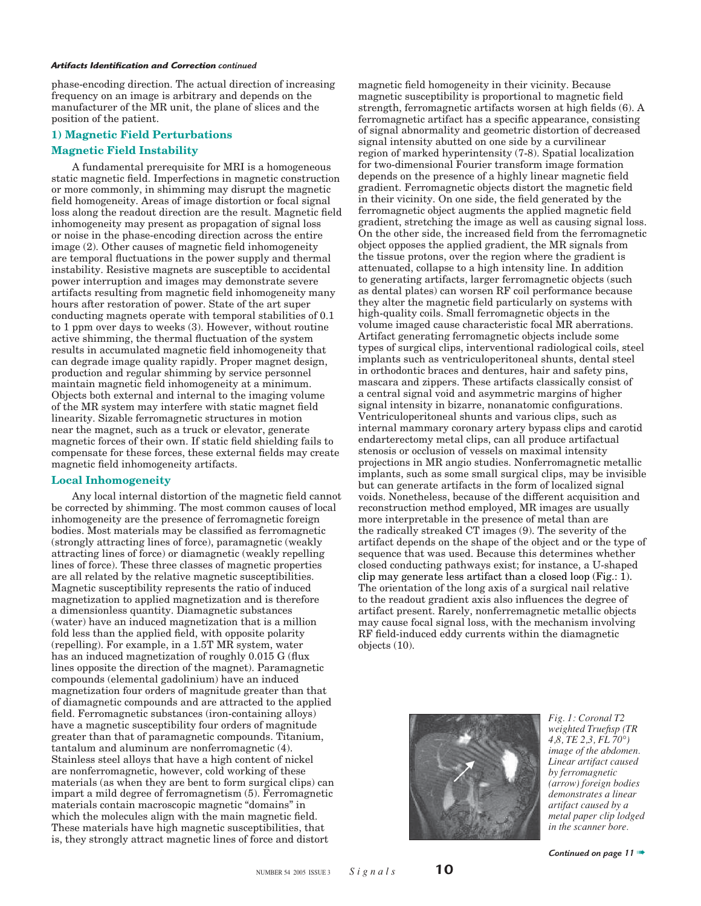phase-encoding direction. The actual direction of increasing frequency on an image is arbitrary and depends on the manufacturer of the MR unit, the plane of slices and the position of the patient.

#### **1) Magnetic Field Perturbations**

#### **Magnetic Field Instability**

A fundamental prerequisite for MRI is a homogeneous static magnetic field. Imperfections in magnetic construction or more commonly, in shimming may disrupt the magnetic field homogeneity. Areas of image distortion or focal signal loss along the readout direction are the result. Magnetic field inhomogeneity may present as propagation of signal loss or noise in the phase-encoding direction across the entire  $image(2)$ . Other causes of magnetic field inhomogeneity are temporal fluctuations in the power supply and thermal instability. Resistive magnets are susceptible to accidental power interruption and images may demonstrate severe artifacts resulting from magnetic field inhomogeneity many hours after restoration of power. State of the art super conducting magnets operate with temporal stabilities of 0.1 to 1 ppm over days to weeks (3). However, without routine active shimming, the thermal fluctuation of the system results in accumulated magnetic field inhomogeneity that can degrade image quality rapidly. Proper magnet design, production and regular shimming by service personnel maintain magnetic field inhomogeneity at a minimum. Objects both external and internal to the imaging volume of the MR system may interfere with static magnet field linearity. Sizable ferromagnetic structures in motion near the magnet, such as a truck or elevator, generate magnetic forces of their own. If static field shielding fails to compensate for these forces, these external fields may create magnetic field inhomogeneity artifacts.

#### **Local Inhomogeneity**

Any local internal distortion of the magnetic field cannot be corrected by shimming. The most common causes of local inhomogeneity are the presence of ferromagnetic foreign bodies. Most materials may be classified as ferromagnetic (strongly attracting lines of force), paramagnetic (weakly attracting lines of force) or diamagnetic (weakly repelling lines of force). These three classes of magnetic properties are all related by the relative magnetic susceptibilities. Magnetic susceptibility represents the ratio of induced magnetization to applied magnetization and is therefore a dimensionless quantity. Diamagnetic substances (water) have an induced magnetization that is a million fold less than the applied field, with opposite polarity (repelling). For example, in a 1.5T MR system, water has an induced magnetization of roughly 0.015 G (flux lines opposite the direction of the magnet). Paramagnetic compounds (elemental gadolinium) have an induced magnetization four orders of magnitude greater than that of diamagnetic compounds and are attracted to the applied field. Ferromagnetic substances (iron-containing alloys) have a magnetic susceptibility four orders of magnitude greater than that of paramagnetic compounds. Titanium, tantalum and aluminum are nonferromagnetic (4). Stainless steel alloys that have a high content of nickel are nonferromagnetic, however, cold working of these materials (as when they are bent to form surgical clips) can impart a mild degree of ferromagnetism (5). Ferromagnetic materials contain macroscopic magnetic "domains" in which the molecules align with the main magnetic field. These materials have high magnetic susceptibilities, that is, they strongly attract magnetic lines of force and distort

magnetic field homogeneity in their vicinity. Because magnetic susceptibility is proportional to magnetic field strength, ferromagnetic artifacts worsen at high fields (6). A ferromagnetic artifact has a specific appearance, consisting of signal abnormality and geometric distortion of decreased signal intensity abutted on one side by a curvilinear region of marked hyperintensity (7-8). Spatial localization for two-dimensional Fourier transform image formation depends on the presence of a highly linear magnetic field gradient. Ferromagnetic objects distort the magnetic field in their vicinity. On one side, the field generated by the ferromagnetic object augments the applied magnetic field gradient, stretching the image as well as causing signal loss. On the other side, the increased field from the ferromagnetic object opposes the applied gradient, the MR signals from the tissue protons, over the region where the gradient is attenuated, collapse to a high intensity line. In addition to generating artifacts, larger ferromagnetic objects (such as dental plates) can worsen RF coil performance because they alter the magnetic field particularly on systems with high-quality coils. Small ferromagnetic objects in the volume imaged cause characteristic focal MR aberrations. Artifact generating ferromagnetic objects include some types of surgical clips, interventional radiological coils, steel implants such as ventriculoperitoneal shunts, dental steel in orthodontic braces and dentures, hair and safety pins, mascara and zippers. These artifacts classically consist of a central signal void and asymmetric margins of higher signal intensity in bizarre, nonanatomic configurations. Ventriculoperitoneal shunts and various clips, such as internal mammary coronary artery bypass clips and carotid endarterectomy metal clips, can all produce artifactual stenosis or occlusion of vessels on maximal intensity projections in MR angio studies. Nonferromagnetic metallic implants, such as some small surgical clips, may be invisible but can generate artifacts in the form of localized signal voids. Nonetheless, because of the different acquisition and reconstruction method employed, MR images are usually more interpretable in the presence of metal than are the radically streaked CT images (9). The severity of the artifact depends on the shape of the object and or the type of sequence that was used. Because this determines whether closed conducting pathways exist; for instance, a U-shaped clip may generate less artifact than a closed loop (Fig.: 1). The orientation of the long axis of a surgical nail relative to the readout gradient axis also influences the degree of artifact present. Rarely, nonferremagnetic metallic objects may cause focal signal loss, with the mechanism involving RF field-induced eddy currents within the diamagnetic objects (10).



*Fig. 1: Coronal T2 weighted Truefi sp (TR 4,8, TE 2,3, FL 70°) image of the abdomen. Linear artifact caused by ferromagnetic (arrow) foreign bodies demonstrates a linear artifact caused by a metal paper clip lodged in the scanner bore.*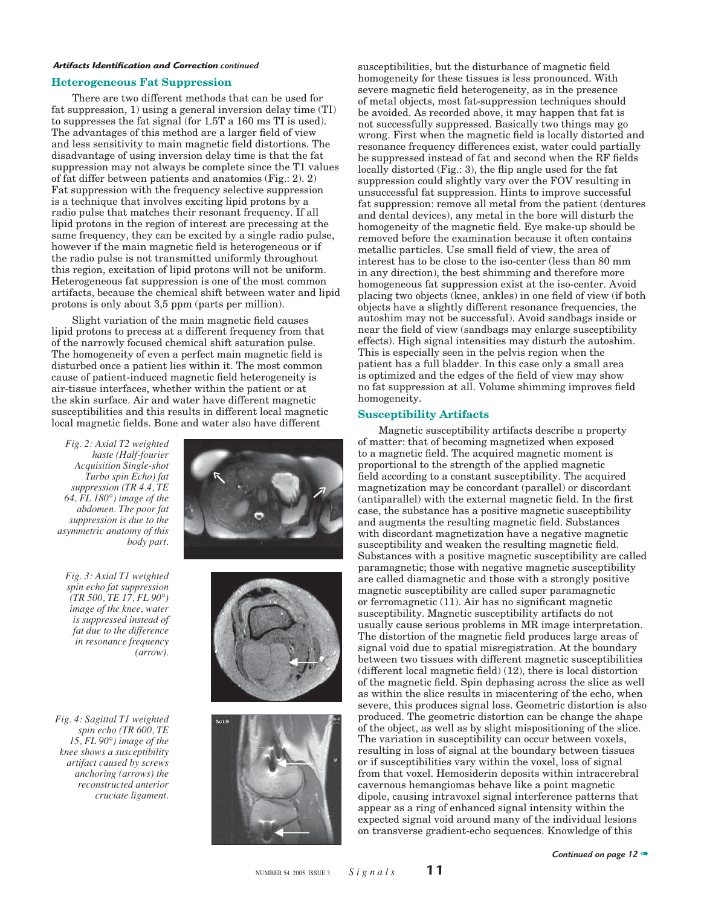#### **Heterogeneous Fat Suppression**

There are two different methods that can be used for fat suppression, 1) using a general inversion delay time (TI) to suppresses the fat signal (for 1.5T a 160 ms TI is used). The advantages of this method are a larger field of view and less sensitivity to main magnetic field distortions. The disadvantage of using inversion delay time is that the fat suppression may not always be complete since the T1 values of fat differ between patients and anatomies (Fig.: 2). 2) Fat suppression with the frequency selective suppression is a technique that involves exciting lipid protons by a radio pulse that matches their resonant frequency. If all lipid protons in the region of interest are precessing at the same frequency, they can be excited by a single radio pulse, however if the main magnetic field is heterogeneous or if the radio pulse is not transmitted uniformly throughout this region, excitation of lipid protons will not be uniform. Heterogeneous fat suppression is one of the most common artifacts, because the chemical shift between water and lipid protons is only about 3,5 ppm (parts per million).

Slight variation of the main magnetic field causes lipid protons to precess at a different frequency from that of the narrowly focused chemical shift saturation pulse. The homogeneity of even a perfect main magnetic field is disturbed once a patient lies within it. The most common cause of patient-induced magnetic field heterogeneity is air-tissue interfaces, whether within the patient or at the skin surface. Air and water have different magnetic susceptibilities and this results in different local magnetic local magnetic fields. Bone and water also have different

*Fig. 2: Axial T2 weighted haste (Half-fourier Acquisition Single-shot Turbo spin Echo) fat suppression (TR 4.4, TE 64, FL 180°) image of the abdomen. The poor fat suppression is due to the asymmetric anatomy of this body part.*

*Fig. 3: Axial T1 weighted spin echo fat suppression (TR 500, TE 17, FL 90°) image of the knee, water is suppressed instead of fat due to the difference in resonance frequency (arrow).*

*Fig. 4: Sagittal T1 weighted spin echo (TR 600, TE 15, FL 90°) image of the knee shows a susceptibility artifact caused by screws anchoring (arrows) the reconstructed anterior cruciate ligament.*







susceptibilities, but the disturbance of magnetic field homogeneity for these tissues is less pronounced. With severe magnetic field heterogeneity, as in the presence of metal objects, most fat-suppression techniques should be avoided. As recorded above, it may happen that fat is not successfully suppressed. Basically two things may go wrong. First when the magnetic field is locally distorted and resonance frequency differences exist, water could partially be suppressed instead of fat and second when the RF fields locally distorted (Fig.: 3), the flip angle used for the fat suppression could slightly vary over the FOV resulting in unsuccessful fat suppression. Hints to improve successful fat suppression: remove all metal from the patient (dentures and dental devices), any metal in the bore will disturb the homogeneity of the magnetic field. Eye make-up should be removed before the examination because it often contains metallic particles. Use small field of view, the area of interest has to be close to the iso-center (less than 80 mm in any direction), the best shimming and therefore more homogeneous fat suppression exist at the iso-center. Avoid placing two objects (knee, ankles) in one field of view (if both objects have a slightly different resonance frequencies, the autoshim may not be successful). Avoid sandbags inside or near the field of view (sandbags may enlarge susceptibility effects). High signal intensities may disturb the autoshim. This is especially seen in the pelvis region when the patient has a full bladder. In this case only a small area is optimized and the edges of the field of view may show no fat suppression at all. Volume shimming improves field homogeneity.

#### **Susceptibility Artifacts**

Magnetic susceptibility artifacts describe a property of matter: that of becoming magnetized when exposed to a magnetic field. The acquired magnetic moment is proportional to the strength of the applied magnetic field according to a constant susceptibility. The acquired magnetization may be concordant (parallel) or discordant (antiparallel) with the external magnetic field. In the first case, the substance has a positive magnetic susceptibility and augments the resulting magnetic field. Substances with discordant magnetization have a negative magnetic susceptibility and weaken the resulting magnetic field. Substances with a positive magnetic susceptibility are called paramagnetic; those with negative magnetic susceptibility are called diamagnetic and those with a strongly positive magnetic susceptibility are called super paramagnetic or ferromagnetic  $(11)$ . Air has no significant magnetic susceptibility. Magnetic susceptibility artifacts do not usually cause serious problems in MR image interpretation. The distortion of the magnetic field produces large areas of signal void due to spatial misregistration. At the boundary between two tissues with different magnetic susceptibilities  $(differential)$  (different local magnetic field) (12), there is local distortion of the magnetic field. Spin dephasing across the slice as well as within the slice results in miscentering of the echo, when severe, this produces signal loss. Geometric distortion is also produced. The geometric distortion can be change the shape of the object, as well as by slight mispositioning of the slice. The variation in susceptibility can occur between voxels, resulting in loss of signal at the boundary between tissues or if susceptibilities vary within the voxel, loss of signal from that voxel. Hemosiderin deposits within intracerebral cavernous hemangiomas behave like a point magnetic dipole, causing intravoxel signal interference patterns that appear as a ring of enhanced signal intensity within the expected signal void around many of the individual lesions on transverse gradient-echo sequences. Knowledge of this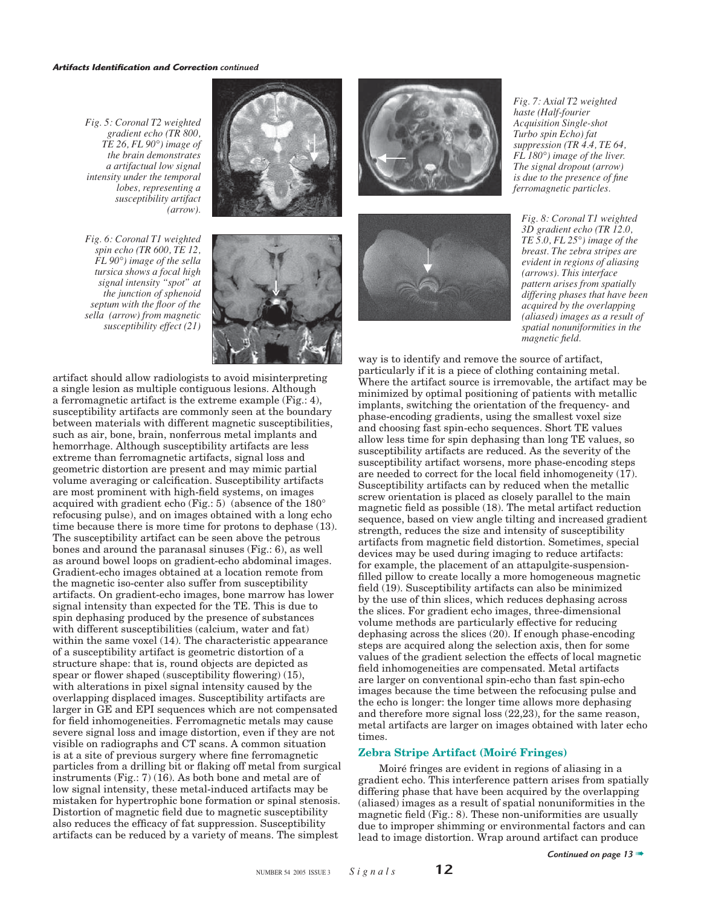*Fig. 5: Coronal T2 weighted gradient echo (TR 800, TE 26, FL 90°) image of the brain demonstrates a artifactual low signal intensity under the temporal lobes, representing a susceptibility artifact (arrow).*

*Fig. 6: Coronal T1 weighted spin echo (TR 600, TE 12, FL 90°) image of the sella tursica shows a focal high signal intensity "spot" at the junction of sphenoid septum with the floor of the sella (arrow) from magnetic susceptibility effect (21)*





artifact should allow radiologists to avoid misinterpreting a single lesion as multiple contiguous lesions. Although a ferromagnetic artifact is the extreme example (Fig.: 4), susceptibility artifacts are commonly seen at the boundary between materials with different magnetic susceptibilities, such as air, bone, brain, nonferrous metal implants and hemorrhage. Although susceptibility artifacts are less extreme than ferromagnetic artifacts, signal loss and geometric distortion are present and may mimic partial volume averaging or calcification. Susceptibility artifacts are most prominent with high-field systems, on images acquired with gradient echo (Fig.: 5) (absence of the 180° refocusing pulse), and on images obtained with a long echo time because there is more time for protons to dephase (13). The susceptibility artifact can be seen above the petrous bones and around the paranasal sinuses (Fig.: 6), as well as around bowel loops on gradient-echo abdominal images. Gradient-echo images obtained at a location remote from the magnetic iso-center also suffer from susceptibility artifacts. On gradient-echo images, bone marrow has lower signal intensity than expected for the TE. This is due to spin dephasing produced by the presence of substances with different susceptibilities (calcium, water and fat) within the same voxel (14). The characteristic appearance of a susceptibility artifact is geometric distortion of a structure shape: that is, round objects are depicted as spear or flower shaped (susceptibility flowering)  $(15)$ , with alterations in pixel signal intensity caused by the overlapping displaced images. Susceptibility artifacts are larger in GE and EPI sequences which are not compensated for field inhomogeneities. Ferromagnetic metals may cause severe signal loss and image distortion, even if they are not visible on radiographs and CT scans. A common situation is at a site of previous surgery where fine ferromagnetic particles from a drilling bit or flaking off metal from surgical instruments (Fig.: 7) (16). As both bone and metal are of low signal intensity, these metal-induced artifacts may be mistaken for hypertrophic bone formation or spinal stenosis. Distortion of magnetic field due to magnetic susceptibility also reduces the efficacy of fat suppression. Susceptibility artifacts can be reduced by a variety of means. The simplest





*Fig. 7: Axial T2 weighted haste (Half-fourier Acquisition Single-shot Turbo spin Echo) fat suppression (TR 4.4, TE 64, FL 180°) image of the liver. The signal dropout (arrow) is due to the presence of fine ferromagnetic particles.*

*Fig. 8: Coronal T1 weighted 3D gradient echo (TR 12.0, TE 5.0, FL 25°) image of the breast. The zebra stripes are evident in regions of aliasing (arrows). This interface pattern arises from spatially differing phases that have been acquired by the overlapping (aliased) images as a result of spatial nonuniformities in the magnetic field.* 

way is to identify and remove the source of artifact, particularly if it is a piece of clothing containing metal. Where the artifact source is irremovable, the artifact may be minimized by optimal positioning of patients with metallic implants, switching the orientation of the frequency- and phase-encoding gradients, using the smallest voxel size and choosing fast spin-echo sequences. Short TE values allow less time for spin dephasing than long TE values, so susceptibility artifacts are reduced. As the severity of the susceptibility artifact worsens, more phase-encoding steps are needed to correct for the local field inhomogeneity (17). Susceptibility artifacts can by reduced when the metallic screw orientation is placed as closely parallel to the main magnetic field as possible  $(18)$ . The metal artifact reduction sequence, based on view angle tilting and increased gradient strength, reduces the size and intensity of susceptibility artifacts from magnetic field distortion. Sometimes, special devices may be used during imaging to reduce artifacts: for example, the placement of an attapulgite-suspensionfilled pillow to create locally a more homogeneous magnetic field (19). Susceptibility artifacts can also be minimized by the use of thin slices, which reduces dephasing across the slices. For gradient echo images, three-dimensional volume methods are particularly effective for reducing dephasing across the slices (20). If enough phase-encoding steps are acquired along the selection axis, then for some values of the gradient selection the effects of local magnetic field inhomogeneities are compensated. Metal artifacts are larger on conventional spin-echo than fast spin-echo images because the time between the refocusing pulse and the echo is longer: the longer time allows more dephasing and therefore more signal loss (22,23), for the same reason, metal artifacts are larger on images obtained with later echo times.

#### **Zebra Stripe Artifact (Moiré Fringes)**

Moiré fringes are evident in regions of aliasing in a gradient echo. This interference pattern arises from spatially differing phase that have been acquired by the overlapping (aliased) images as a result of spatial nonuniformities in the magnetic field (Fig.:  $8$ ). These non-uniformities are usually due to improper shimming or environmental factors and can lead to image distortion. Wrap around artifact can produce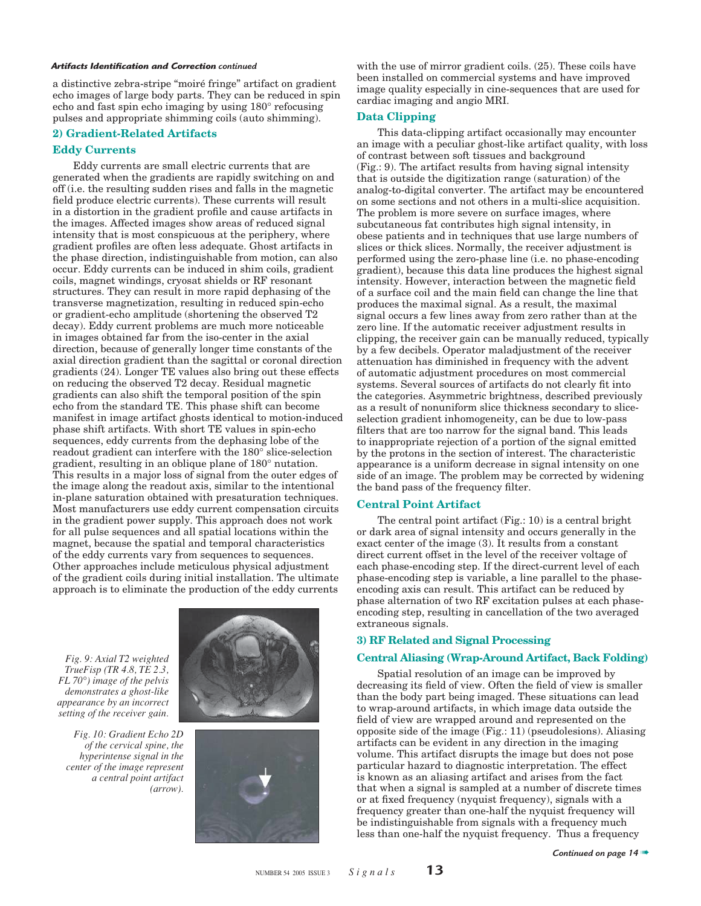a distinctive zebra-stripe "moiré fringe" artifact on gradient echo images of large body parts. They can be reduced in spin echo and fast spin echo imaging by using 180° refocusing pulses and appropriate shimming coils (auto shimming).

#### **2) Gradient-Related Artifacts**

#### **Eddy Currents**

Eddy currents are small electric currents that are generated when the gradients are rapidly switching on and off (i.e. the resulting sudden rises and falls in the magnetic field produce electric currents). These currents will result in a distortion in the gradient profile and cause artifacts in the images. Affected images show areas of reduced signal intensity that is most conspicuous at the periphery, where gradient profiles are often less adequate. Ghost artifacts in the phase direction, indistinguishable from motion, can also occur. Eddy currents can be induced in shim coils, gradient coils, magnet windings, cryosat shields or RF resonant structures. They can result in more rapid dephasing of the transverse magnetization, resulting in reduced spin-echo or gradient-echo amplitude (shortening the observed T2 decay). Eddy current problems are much more noticeable in images obtained far from the iso-center in the axial direction, because of generally longer time constants of the axial direction gradient than the sagittal or coronal direction gradients (24). Longer TE values also bring out these effects on reducing the observed T2 decay. Residual magnetic gradients can also shift the temporal position of the spin echo from the standard TE. This phase shift can become manifest in image artifact ghosts identical to motion-induced phase shift artifacts. With short TE values in spin-echo sequences, eddy currents from the dephasing lobe of the readout gradient can interfere with the 180° slice-selection gradient, resulting in an oblique plane of 180° nutation. This results in a major loss of signal from the outer edges of the image along the readout axis, similar to the intentional in-plane saturation obtained with presaturation techniques. Most manufacturers use eddy current compensation circuits in the gradient power supply. This approach does not work for all pulse sequences and all spatial locations within the magnet, because the spatial and temporal characteristics of the eddy currents vary from sequences to sequences. Other approaches include meticulous physical adjustment of the gradient coils during initial installation. The ultimate approach is to eliminate the production of the eddy currents

*Fig. 9: Axial T2 weighted TrueFisp (TR 4.8, TE 2.3, FL 70°) image of the pelvis demonstrates a ghost-like appearance by an incorrect setting of the receiver gain.*

*Fig. 10: Gradient Echo 2D of the cervical spine, the hyperintense signal in the center of the image represent a central point artifact (arrow).*





with the use of mirror gradient coils. (25). These coils have been installed on commercial systems and have improved image quality especially in cine-sequences that are used for cardiac imaging and angio MRI.

#### **Data Clipping**

This data-clipping artifact occasionally may encounter an image with a peculiar ghost-like artifact quality, with loss of contrast between soft tissues and background (Fig.: 9). The artifact results from having signal intensity that is outside the digitization range (saturation) of the analog-to-digital converter. The artifact may be encountered on some sections and not others in a multi-slice acquisition. The problem is more severe on surface images, where subcutaneous fat contributes high signal intensity, in obese patients and in techniques that use large numbers of slices or thick slices. Normally, the receiver adjustment is performed using the zero-phase line (i.e. no phase-encoding gradient), because this data line produces the highest signal intensity. However, interaction between the magnetic field of a surface coil and the main field can change the line that produces the maximal signal. As a result, the maximal signal occurs a few lines away from zero rather than at the zero line. If the automatic receiver adjustment results in clipping, the receiver gain can be manually reduced, typically by a few decibels. Operator maladjustment of the receiver attenuation has diminished in frequency with the advent of automatic adjustment procedures on most commercial systems. Several sources of artifacts do not clearly fit into the categories. Asymmetric brightness, described previously as a result of nonuniform slice thickness secondary to sliceselection gradient inhomogeneity, can be due to low-pass filters that are too narrow for the signal band. This leads to inappropriate rejection of a portion of the signal emitted by the protons in the section of interest. The characteristic appearance is a uniform decrease in signal intensity on one side of an image. The problem may be corrected by widening the band pass of the frequency filter.

#### **Central Point Artifact**

The central point artifact (Fig.: 10) is a central bright or dark area of signal intensity and occurs generally in the exact center of the image (3). It results from a constant direct current offset in the level of the receiver voltage of each phase-encoding step. If the direct-current level of each phase-encoding step is variable, a line parallel to the phaseencoding axis can result. This artifact can be reduced by phase alternation of two RF excitation pulses at each phaseencoding step, resulting in cancellation of the two averaged extraneous signals.

#### **3) RF Related and Signal Processing**

#### **Central Aliasing (Wrap-Around Artifact, Back Folding)**

Spatial resolution of an image can be improved by decreasing its field of view. Often the field of view is smaller than the body part being imaged. These situations can lead to wrap-around artifacts, in which image data outside the field of view are wrapped around and represented on the opposite side of the image (Fig.: 11) (pseudolesions). Aliasing artifacts can be evident in any direction in the imaging volume. This artifact disrupts the image but does not pose particular hazard to diagnostic interpretation. The effect is known as an aliasing artifact and arises from the fact that when a signal is sampled at a number of discrete times or at fixed frequency (nyquist frequency), signals with a frequency greater than one-half the nyquist frequency will be indistinguishable from signals with a frequency much less than one-half the nyquist frequency. Thus a frequency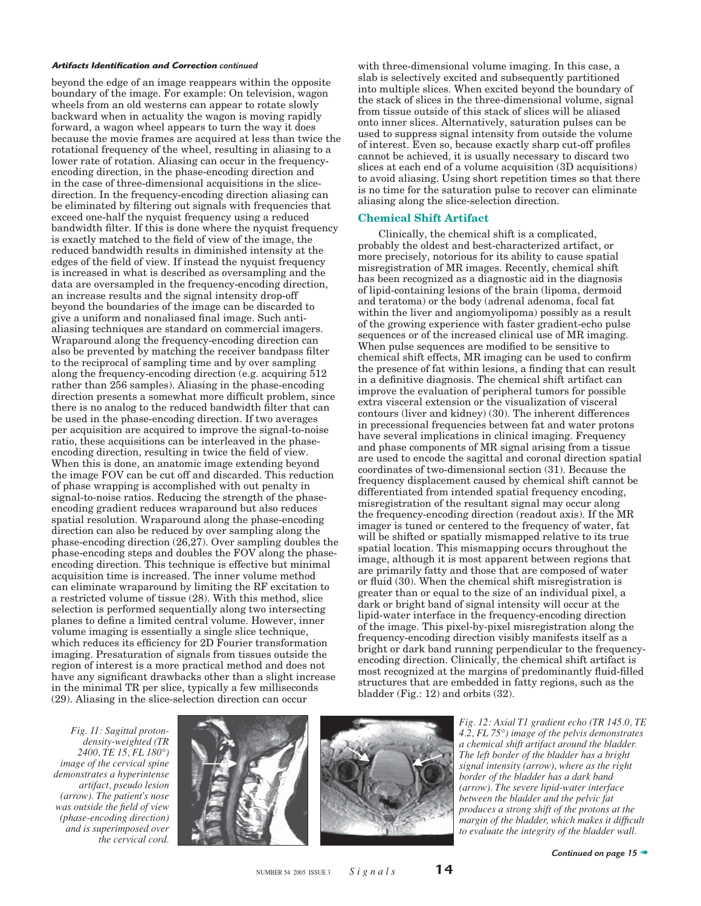beyond the edge of an image reappears within the opposite boundary of the image. For example: On television, wagon wheels from an old westerns can appear to rotate slowly backward when in actuality the wagon is moving rapidly forward, a wagon wheel appears to turn the way it does because the movie frames are acquired at less than twice the rotational frequency of the wheel, resulting in aliasing to a lower rate of rotation. Aliasing can occur in the frequencyencoding direction, in the phase-encoding direction and in the case of three-dimensional acquisitions in the slicedirection. In the frequency-encoding direction aliasing can be eliminated by filtering out signals with frequencies that exceed one-half the nyquist frequency using a reduced bandwidth filter. If this is done where the nyquist frequency is exactly matched to the field of view of the image, the reduced bandwidth results in diminished intensity at the edges of the field of view. If instead the nyquist frequency is increased in what is described as oversampling and the data are oversampled in the frequency-encoding direction, an increase results and the signal intensity drop-off beyond the boundaries of the image can be discarded to give a uniform and nonaliased final image. Such antialiasing techniques are standard on commercial imagers. Wraparound along the frequency-encoding direction can also be prevented by matching the receiver bandpass filter to the reciprocal of sampling time and by over sampling along the frequency-encoding direction (e.g. acquiring 512 rather than 256 samples). Aliasing in the phase-encoding direction presents a somewhat more difficult problem, since there is no analog to the reduced bandwidth filter that can be used in the phase-encoding direction. If two averages per acquisition are acquired to improve the signal-to-noise ratio, these acquisitions can be interleaved in the phaseencoding direction, resulting in twice the field of view. When this is done, an anatomic image extending beyond the image FOV can be cut off and discarded. This reduction of phase wrapping is accomplished with out penalty in signal-to-noise ratios. Reducing the strength of the phaseencoding gradient reduces wraparound but also reduces spatial resolution. Wraparound along the phase-encoding direction can also be reduced by over sampling along the phase-encoding direction (26,27). Over sampling doubles the phase-encoding steps and doubles the FOV along the phaseencoding direction. This technique is effective but minimal acquisition time is increased. The inner volume method can eliminate wraparound by limiting the RF excitation to a restricted volume of tissue (28). With this method, slice selection is performed sequentially along two intersecting planes to define a limited central volume. However, inner volume imaging is essentially a single slice technique, which reduces its efficiency for 2D Fourier transformation imaging. Presaturation of signals from tissues outside the region of interest is a more practical method and does not have any significant drawbacks other than a slight increase in the minimal TR per slice, typically a few milliseconds (29). Aliasing in the slice-selection direction can occur

Artifacts Identification and Correction continued **by the example of the value of the value** with three-dimensional volume imaging. In this case, a slab is selectively excited and subsequently partitioned into multiple slices. When excited beyond the boundary of the stack of slices in the three-dimensional volume, signal from tissue outside of this stack of slices will be aliased onto inner slices. Alternatively, saturation pulses can be used to suppress signal intensity from outside the volume of interest. Even so, because exactly sharp cut-off profiles cannot be achieved, it is usually necessary to discard two slices at each end of a volume acquisition (3D acquisitions) to avoid aliasing. Using short repetition times so that there is no time for the saturation pulse to recover can eliminate aliasing along the slice-selection direction.

#### **Chemical Shift Artifact**

Clinically, the chemical shift is a complicated, probably the oldest and best-characterized artifact, or more precisely, notorious for its ability to cause spatial misregistration of MR images. Recently, chemical shift has been recognized as a diagnostic aid in the diagnosis of lipid-containing lesions of the brain (lipoma, dermoid and teratoma) or the body (adrenal adenoma, focal fat within the liver and angiomyolipoma) possibly as a result of the growing experience with faster gradient-echo pulse sequences or of the increased clinical use of MR imaging. When pulse sequences are modified to be sensitive to chemical shift effects, MR imaging can be used to confirm the presence of fat within lesions, a finding that can result in a definitive diagnosis. The chemical shift artifact can improve the evaluation of peripheral tumors for possible extra visceral extension or the visualization of visceral contours (liver and kidney) (30). The inherent differences in precessional frequencies between fat and water protons have several implications in clinical imaging. Frequency and phase components of MR signal arising from a tissue are used to encode the sagittal and coronal direction spatial coordinates of two-dimensional section (31). Because the frequency displacement caused by chemical shift cannot be differentiated from intended spatial frequency encoding, misregistration of the resultant signal may occur along the frequency-encoding direction (readout axis). If the MR imager is tuned or centered to the frequency of water, fat will be shifted or spatially mismapped relative to its true spatial location. This mismapping occurs throughout the image, although it is most apparent between regions that are primarily fatty and those that are composed of water or fluid  $(30)$ . When the chemical shift misregistration is greater than or equal to the size of an individual pixel, a dark or bright band of signal intensity will occur at the lipid-water interface in the frequency-encoding direction of the image. This pixel-by-pixel misregistration along the frequency-encoding direction visibly manifests itself as a bright or dark band running perpendicular to the frequencyencoding direction. Clinically, the chemical shift artifact is most recognized at the margins of predominantly fluid-filled structures that are embedded in fatty regions, such as the bladder (Fig.: 12) and orbits (32).

*Fig. 11: Sagittal protondensity-weighted (TR 2400, TE 15, FL 180°) image of the cervical spine demonstrates a hyperintense artifact, pseudo lesion (arrow). The patient's nose was outside the field of view (phase-encoding direction) and is superimposed over the cervical cord.*





*Fig. 12: Axial T1 gradient echo (TR 145.0, TE 4.2, FL 75°) image of the pelvis demonstrates a chemical shift artifact around the bladder. The left border of the bladder has a bright signal intensity (arrow), where as the right border of the bladder has a dark band (arrow). The severe lipid-water interface between the bladder and the pelvic fat produces a strong shift of the protons at the margin of the bladder, which makes it difficult to evaluate the integrity of the bladder wall.*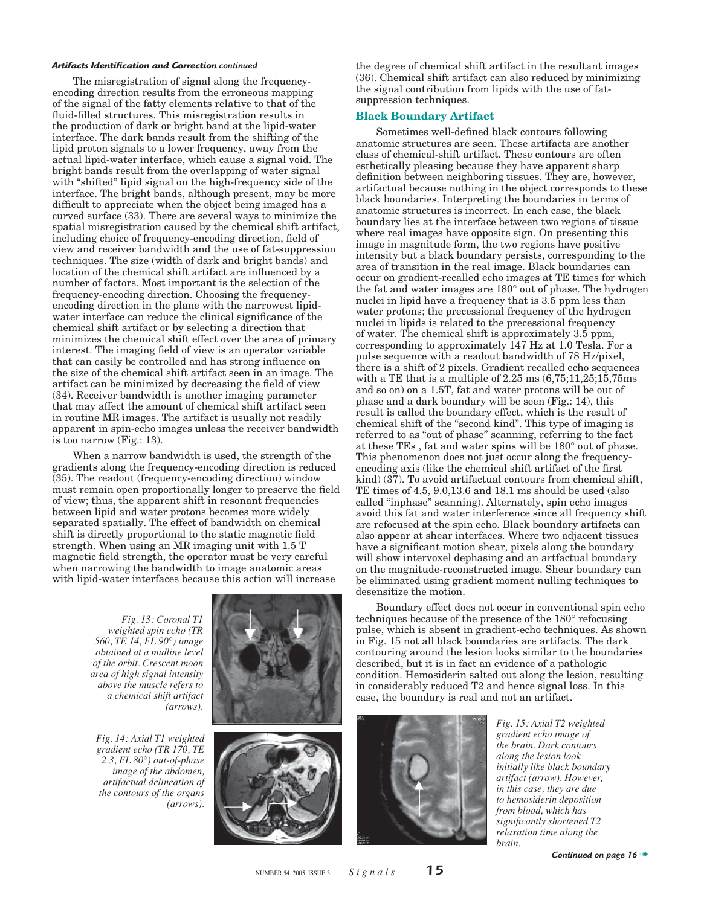The misregistration of signal along the frequencyencoding direction results from the erroneous mapping of the signal of the fatty elements relative to that of the fluid-filled structures. This misregistration results in the production of dark or bright band at the lipid-water interface. The dark bands result from the shifting of the lipid proton signals to a lower frequency, away from the actual lipid-water interface, which cause a signal void. The bright bands result from the overlapping of water signal with "shifted" lipid signal on the high-frequency side of the interface. The bright bands, although present, may be more difficult to appreciate when the object being imaged has a curved surface (33). There are several ways to minimize the spatial misregistration caused by the chemical shift artifact, including choice of frequency-encoding direction, field of view and receiver bandwidth and the use of fat-suppression techniques. The size (width of dark and bright bands) and location of the chemical shift artifact are influenced by a number of factors. Most important is the selection of the frequency-encoding direction. Choosing the frequencyencoding direction in the plane with the narrowest lipidwater interface can reduce the clinical significance of the chemical shift artifact or by selecting a direction that minimizes the chemical shift effect over the area of primary interest. The imaging field of view is an operator variable that can easily be controlled and has strong influence on the size of the chemical shift artifact seen in an image. The artifact can be minimized by decreasing the field of view (34). Receiver bandwidth is another imaging parameter that may affect the amount of chemical shift artifact seen in routine MR images. The artifact is usually not readily apparent in spin-echo images unless the receiver bandwidth is too narrow (Fig.: 13).

When a narrow bandwidth is used, the strength of the gradients along the frequency-encoding direction is reduced (35). The readout (frequency-encoding direction) window must remain open proportionally longer to preserve the field of view; thus, the apparent shift in resonant frequencies between lipid and water protons becomes more widely separated spatially. The effect of bandwidth on chemical shift is directly proportional to the static magnetic field strength. When using an MR imaging unit with 1.5 T magnetic field strength, the operator must be very careful when narrowing the bandwidth to image anatomic areas with lipid-water interfaces because this action will increase

> *Fig. 13: Coronal T1 weighted spin echo (TR 560, TE 14, FL 90°) image obtained at a midline level of the orbit. Crescent moon area of high signal intensity above the muscle refers to a chemical shift artifact (arrows).*

*Fig. 14: Axial T1 weighted gradient echo (TR 170, TE 2.3, FL 80°) out-of-phase image of the abdomen, artifactual delineation of the contours of the organs (arrows).*





the degree of chemical shift artifact in the resultant images (36). Chemical shift artifact can also reduced by minimizing the signal contribution from lipids with the use of fatsuppression techniques.

#### **Black Boundary Artifact**

Sometimes well-defined black contours following anatomic structures are seen. These artifacts are another class of chemical-shift artifact. These contours are often esthetically pleasing because they have apparent sharp definition between neighboring tissues. They are, however, artifactual because nothing in the object corresponds to these black boundaries. Interpreting the boundaries in terms of anatomic structures is incorrect. In each case, the black boundary lies at the interface between two regions of tissue where real images have opposite sign. On presenting this image in magnitude form, the two regions have positive intensity but a black boundary persists, corresponding to the area of transition in the real image. Black boundaries can occur on gradient-recalled echo images at TE times for which the fat and water images are 180° out of phase. The hydrogen nuclei in lipid have a frequency that is 3.5 ppm less than water protons; the precessional frequency of the hydrogen nuclei in lipids is related to the precessional frequency of water. The chemical shift is approximately 3.5 ppm, corresponding to approximately 147 Hz at 1.0 Tesla. For a pulse sequence with a readout bandwidth of 78 Hz/pixel, there is a shift of 2 pixels. Gradient recalled echo sequences with a TE that is a multiple of  $2.25 \text{ ms } (6,75;11,25;15,75 \text{ ms})$ and so on) on a 1.5T, fat and water protons will be out of phase and a dark boundary will be seen (Fig.: 14), this result is called the boundary effect, which is the result of chemical shift of the "second kind". This type of imaging is referred to as "out of phase" scanning, referring to the fact at these TEs , fat and water spins will be 180° out of phase. This phenomenon does not just occur along the frequencyencoding axis (like the chemical shift artifact of the first) kind) (37). To avoid artifactual contours from chemical shift, TE times of 4.5, 9.0,13.6 and 18.1 ms should be used (also called "inphase" scanning). Alternately, spin echo images avoid this fat and water interference since all frequency shift are refocused at the spin echo. Black boundary artifacts can also appear at shear interfaces. Where two adjacent tissues have a significant motion shear, pixels along the boundary will show intervoxel dephasing and an artfactual boundary on the magnitude-reconstructed image. Shear boundary can be eliminated using gradient moment nulling techniques to desensitize the motion.

Boundary effect does not occur in conventional spin echo techniques because of the presence of the 180° refocusing pulse, which is absent in gradient-echo techniques. As shown in Fig. 15 not all black boundaries are artifacts. The dark contouring around the lesion looks similar to the boundaries described, but it is in fact an evidence of a pathologic condition. Hemosiderin salted out along the lesion, resulting in considerably reduced T2 and hence signal loss. In this case, the boundary is real and not an artifact.



*Fig. 15: Axial T2 weighted gradient echo image of the brain. Dark contours along the lesion look initially like black boundary artifact (arrow). However, in this case, they are due to hemosiderin deposition from blood, which has signifi cantly shortened T2 relaxation time along the brain.*

*Continued on page 16* ➠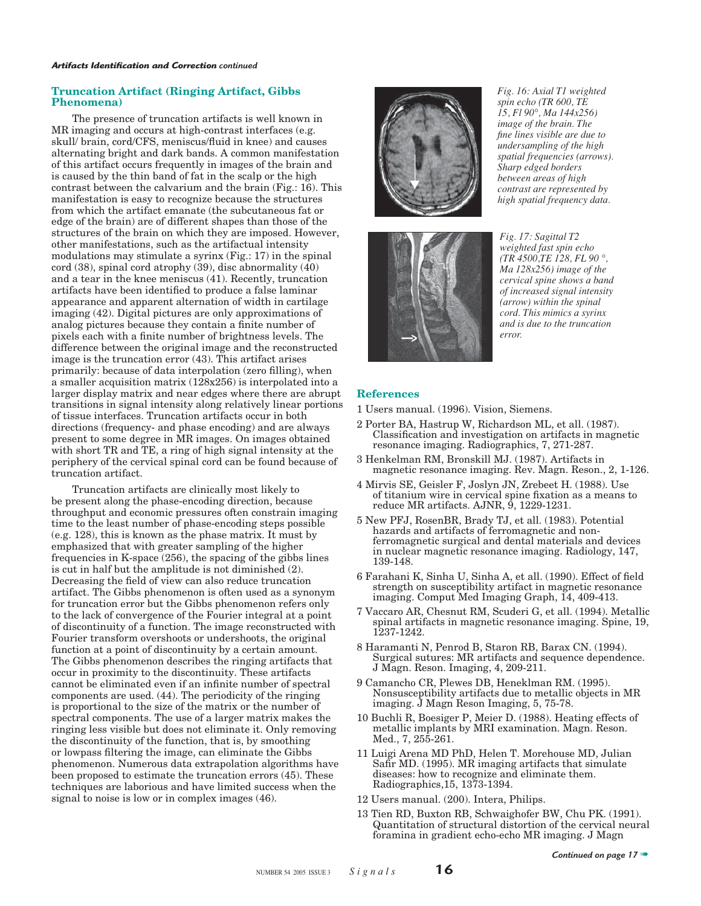#### **Truncation Artifact (Ringing Artifact, Gibbs Phenomena)**

The presence of truncation artifacts is well known in MR imaging and occurs at high-contrast interfaces (e.g. skull/ brain, cord/CFS, meniscus/fluid in knee) and causes alternating bright and dark bands. A common manifestation of this artifact occurs frequently in images of the brain and is caused by the thin band of fat in the scalp or the high contrast between the calvarium and the brain (Fig.: 16). This manifestation is easy to recognize because the structures from which the artifact emanate (the subcutaneous fat or edge of the brain) are of different shapes than those of the structures of the brain on which they are imposed. However, other manifestations, such as the artifactual intensity modulations may stimulate a syrinx (Fig.: 17) in the spinal cord (38), spinal cord atrophy (39), disc abnormality (40) and a tear in the knee meniscus (41). Recently, truncation artifacts have been identified to produce a false laminar appearance and apparent alternation of width in cartilage imaging (42). Digital pictures are only approximations of analog pictures because they contain a finite number of pixels each with a finite number of brightness levels. The difference between the original image and the reconstructed image is the truncation error (43). This artifact arises primarily: because of data interpolation (zero filling), when a smaller acquisition matrix (128x256) is interpolated into a larger display matrix and near edges where there are abrupt transitions in signal intensity along relatively linear portions of tissue interfaces. Truncation artifacts occur in both directions (frequency- and phase encoding) and are always present to some degree in MR images. On images obtained with short TR and TE, a ring of high signal intensity at the periphery of the cervical spinal cord can be found because of truncation artifact.

Truncation artifacts are clinically most likely to be present along the phase-encoding direction, because throughput and economic pressures often constrain imaging time to the least number of phase-encoding steps possible (e.g. 128), this is known as the phase matrix. It must by emphasized that with greater sampling of the higher frequencies in K-space (256), the spacing of the gibbs lines is cut in half but the amplitude is not diminished (2). Decreasing the field of view can also reduce truncation artifact. The Gibbs phenomenon is often used as a synonym for truncation error but the Gibbs phenomenon refers only to the lack of convergence of the Fourier integral at a point of discontinuity of a function. The image reconstructed with Fourier transform overshoots or undershoots, the original function at a point of discontinuity by a certain amount. The Gibbs phenomenon describes the ringing artifacts that occur in proximity to the discontinuity. These artifacts cannot be eliminated even if an infinite number of spectral components are used. (44). The periodicity of the ringing is proportional to the size of the matrix or the number of spectral components. The use of a larger matrix makes the ringing less visible but does not eliminate it. Only removing the discontinuity of the function, that is, by smoothing or lowpass filtering the image, can eliminate the Gibbs phenomenon. Numerous data extrapolation algorithms have been proposed to estimate the truncation errors (45). These techniques are laborious and have limited success when the signal to noise is low or in complex images (46).



*Fig. 16: Axial T1 weighted spin echo (TR 600, TE 15, Fl 90°, Ma 144x256) image of the brain. The fi ne lines visible are due to undersampling of the high spatial frequencies (arrows). Sharp edged borders between areas of high contrast are represented by high spatial frequency data.*



*Fig. 17: Sagittal T2 weighted fast spin echo (TR 4500,TE 128, FL 90 °, Ma 128x256) image of the cervical spine shows a band of increased signal intensity (arrow) within the spinal cord. This mimics a syrinx and is due to the truncation error.*

#### **References**

- 1 Users manual. (1996). Vision, Siemens.
- 2 Porter BA, Hastrup W, Richardson ML, et all. (1987). Classification and investigation on artifacts in magnetic resonance imaging. Radiographics, 7, 271-287.
- 3 Henkelman RM, Bronskill MJ. (1987). Artifacts in magnetic resonance imaging. Rev. Magn. Reson., 2, 1-126.
- 4 Mirvis SE, Geisler F, Joslyn JN, Zrebeet H. (1988). Use of titanium wire in cervical spine fixation as a means to reduce MR artifacts. AJNR, 9, 1229-1231.
- 5 New PFJ, RosenBR, Brady TJ, et all. (1983). Potential hazards and artifacts of ferromagnetic and nonferromagnetic surgical and dental materials and devices in nuclear magnetic resonance imaging. Radiology, 147, 139-148.
- 6 Farahani K, Sinha U, Sinha A, et all. (1990). Effect of field strength on susceptibility artifact in magnetic resonance imaging. Comput Med Imaging Graph, 14, 409-413.
- 7 Vaccaro AR, Chesnut RM, Scuderi G, et all. (1994). Metallic spinal artifacts in magnetic resonance imaging. Spine, 19, 1237-1242.
- 8 Haramanti N, Penrod B, Staron RB, Barax CN. (1994). Surgical sutures: MR artifacts and sequence dependence. J Magn. Reson. Imaging, 4, 209-211.
- 9 Camancho CR, Plewes DB, Heneklman RM. (1995). Nonsusceptibility artifacts due to metallic objects in MR imaging. J Magn Reson Imaging, 5, 75-78.
- 10 Buchli R, Boesiger P, Meier D. (1988). Heating effects of metallic implants by MRI examination. Magn. Reson. Med., 7, 255-261.
- 11 Luigi Arena MD PhD, Helen T. Morehouse MD, Julian Safir MD. (1995). MR imaging artifacts that simulate diseases: how to recognize and eliminate them. Radiographics,15, 1373-1394.
- 12 Users manual. (200). Intera, Philips.
- 13 Tien RD, Buxton RB, Schwaighofer BW, Chu PK. (1991). Quantitation of structural distortion of the cervical neural foramina in gradient echo-echo MR imaging. J Magn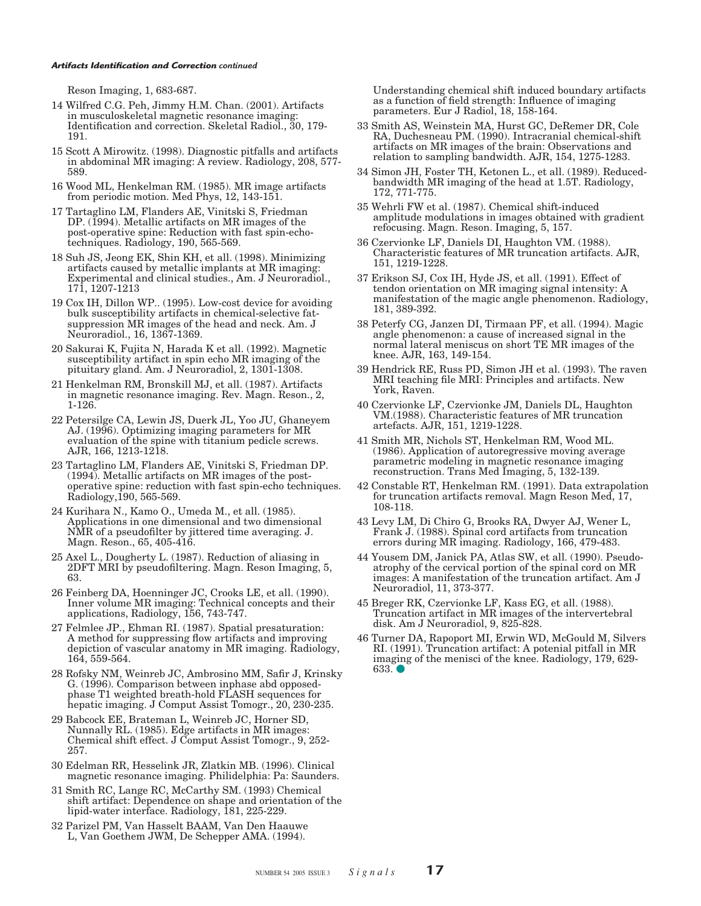Reson Imaging, 1, 683-687.

- 14 Wilfred C.G. Peh, Jimmy H.M. Chan. (2001). Artifacts in musculoskeletal magnetic resonance imaging: Identification and correction. Skeletal Radiol., 30, 179-191.
- 15 Scott A Mirowitz. (1998). Diagnostic pitfalls and artifacts in abdominal MR imaging: A review. Radiology, 208, 577- 589.
- 16 Wood ML, Henkelman RM. (1985). MR image artifacts from periodic motion. Med Phys, 12, 143-151.
- 17 Tartaglino LM, Flanders AE, Vinitski S, Friedman DP. (1994). Metallic artifacts on MR images of the post-operative spine: Reduction with fast spin-echotechniques. Radiology, 190, 565-569.
- 18 Suh JS, Jeong EK, Shin KH, et all. (1998). Minimizing artifacts caused by metallic implants at MR imaging: Experimental and clinical studies., Am. J Neuroradiol., 171, 1207-1213
- 19 Cox IH, Dillon WP.. (1995). Low-cost device for avoiding bulk susceptibility artifacts in chemical-selective fatsuppression MR images of the head and neck. Am. J Neuroradiol., 16, 1367-1369.
- 20 Sakurai K, Fujita N, Harada K et all. (1992). Magnetic susceptibility artifact in spin echo MR imaging of the pituitary gland. Am. J Neuroradiol, 2, 1301-1308.
- 21 Henkelman RM, Bronskill MJ, et all. (1987). Artifacts in magnetic resonance imaging. Rev. Magn. Reson., 2, 1-126.
- 22 Petersilge CA, Lewin JS, Duerk JL, Yoo JU, Ghaneyem AJ. (1996). Optimizing imaging parameters for MR evaluation of the spine with titanium pedicle screws. AJR, 166, 1213-1218.
- 23 Tartaglino LM, Flanders AE, Vinitski S, Friedman DP. (1994). Metallic artifacts on MR images of the postoperative spine: reduction with fast spin-echo techniques. Radiology,190, 565-569.
- 24 Kurihara N., Kamo O., Umeda M., et all. (1985). Applications in one dimensional and two dimensional NMR of a pseudofilter by jittered time averaging. J. Magn. Reson., 65, 405-416.
- 25 Axel L., Dougherty L. (1987). Reduction of aliasing in 2DFT MRI by pseudofiltering. Magn. Reson Imaging, 5, 63.
- 26 Feinberg DA, Hoenninger JC, Crooks LE, et all. (1990). Inner volume MR imaging: Technical concepts and their applications, Radiology, 156, 743-747.
- 27 Felmlee JP., Ehman RI. (1987). Spatial presaturation: A method for suppressing flow artifacts and improving depiction of vascular anatomy in MR imaging. Radiology, 164, 559-564.
- 28 Rofsky NM, Weinreb JC, Ambrosino MM, Safir J, Krinsky G. (1996). Comparison between inphase abd opposedphase T1 weighted breath-hold FLASH sequences for hepatic imaging. J Comput Assist Tomogr., 20, 230-235.
- 29 Babcock EE, Brateman L, Weinreb JC, Horner SD, Nunnally RL. (1985). Edge artifacts in MR images: Chemical shift effect. J Comput Assist Tomogr., 9, 252- 257.
- 30 Edelman RR, Hesselink JR, Zlatkin MB. (1996). Clinical magnetic resonance imaging. Philidelphia: Pa: Saunders.
- 31 Smith RC, Lange RC, McCarthy SM. (1993) Chemical shift artifact: Dependence on shape and orientation of the lipid-water interface. Radiology, 181, 225-229.
- 32 Parizel PM, Van Hasselt BAAM, Van Den Haauwe L, Van Goethem JWM, De Schepper AMA. (1994).

Understanding chemical shift induced boundary artifacts as a function of field strength: Influence of imaging parameters. Eur J Radiol, 18, 158-164.

- 33 Smith AS, Weinstein MA, Hurst GC, DeRemer DR, Cole RA, Duchesneau PM. (1990). Intracranial chemical-shift artifacts on MR images of the brain: Observations and relation to sampling bandwidth. AJR, 154, 1275-1283.
- 34 Simon JH, Foster TH, Ketonen L., et all. (1989). Reducedbandwidth MR imaging of the head at 1.5T. Radiology, 172, 771-775.
- 35 Wehrli FW et al. (1987). Chemical shift-induced amplitude modulations in images obtained with gradient refocusing. Magn. Reson. Imaging, 5, 157.
- 36 Czervionke LF, Daniels DI, Haughton VM. (1988). Characteristic features of MR truncation artifacts. AJR, 151, 1219-1228.
- 37 Erikson SJ, Cox IH, Hyde JS, et all. (1991). Effect of tendon orientation on MR imaging signal intensity: A manifestation of the magic angle phenomenon. Radiology, 181, 389-392.
- 38 Peterfy CG, Janzen DI, Tirmaan PF, et all. (1994). Magic angle phenomenon: a cause of increased signal in the normal lateral meniscus on short TE MR images of the knee. AJR, 163, 149-154.
- 39 Hendrick RE, Russ PD, Simon JH et al. (1993). The raven MRI teaching file MRI: Principles and artifacts. New York, Raven.
- 40 Czervionke LF, Czervionke JM, Daniels DL, Haughton VM.(1988). Characteristic features of MR truncation artefacts. AJR, 151, 1219-1228.
- 41 Smith MR, Nichols ST, Henkelman RM, Wood ML. (1986). Application of autoregressive moving average parametric modeling in magnetic resonance imaging reconstruction. Trans Med Imaging, 5, 132-139.
- 42 Constable RT, Henkelman RM. (1991). Data extrapolation for truncation artifacts removal. Magn Reson Med, 17, 108-118.
- 43 Levy LM, Di Chiro G, Brooks RA, Dwyer AJ, Wener L, Frank J. (1988). Spinal cord artifacts from truncation errors during MR imaging. Radiology, 166, 479-483.
- 44 Yousem DM, Janick PA, Atlas SW, et all. (1990). Pseudoatrophy of the cervical portion of the spinal cord on MR images: A manifestation of the truncation artifact. Am J Neuroradiol, 11, 373-377.
- 45 Breger RK, Czervionke LF, Kass EG, et all. (1988). Truncation artifact in MR images of the intervertebral disk. Am J Neuroradiol, 9, 825-828.
- 46 Turner DA, Rapoport MI, Erwin WD, McGould M, Silvers RI. (1991). Truncation artifact: A potenial pitfall in MR imaging of the menisci of the knee. Radiology, 179, 629- **633. ●**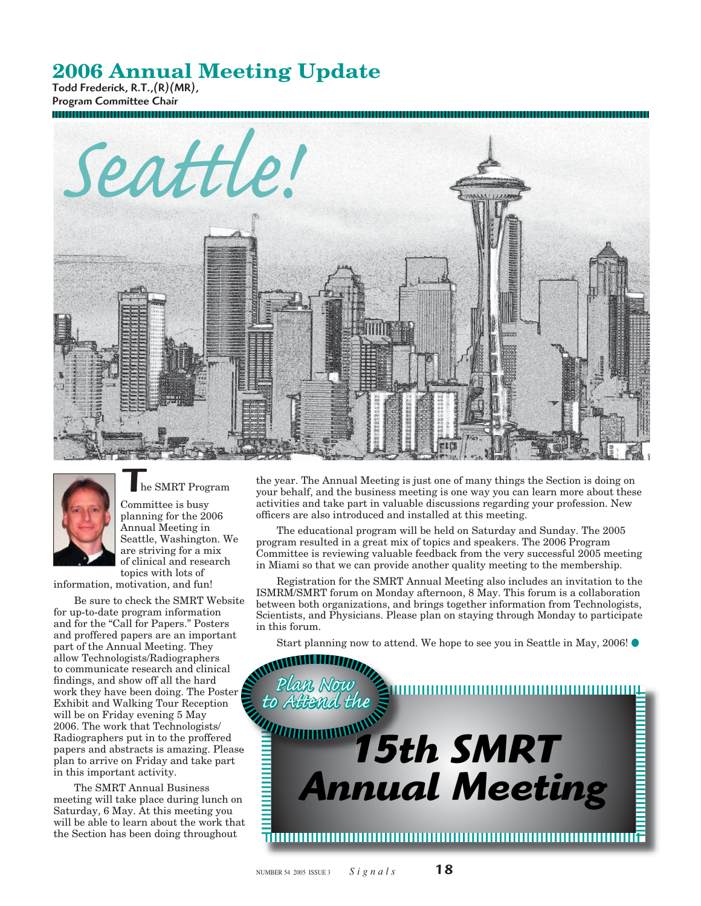# **2006 Annual Meeting Update**

Todd Frederick, R.T.,(R)(MR), Program Committee Chair





#### he SMRT Program

Committee is busy planning for the 2006 Annual Meeting in Seattle, Washington. We are striving for a mix of clinical and research topics with lots of

information, motivation, and fun!

Be sure to check the SMRT Website for up-to-date program information and for the "Call for Papers." Posters and proffered papers are an important part of the Annual Meeting. They allow Technologists/Radiographers to communicate research and clinical findings, and show off all the hard work they have been doing. The Poster Exhibit and Walking Tour Reception will be on Friday evening 5 May 2006. The work that Technologists/ Radiographers put in to the proffered papers and abstracts is amazing. Please plan to arrive on Friday and take part in this important activity.

The SMRT Annual Business meeting will take place during lunch on Saturday, 6 May. At this meeting you will be able to learn about the work that the Section has been doing throughout

the year. The Annual Meeting is just one of many things the Section is doing on your behalf, and the business meeting is one way you can learn more about these activities and take part in valuable discussions regarding your profession. New officers are also introduced and installed at this meeting.

The educational program will be held on Saturday and Sunday. The 2005 program resulted in a great mix of topics and speakers. The 2006 Program Committee is reviewing valuable feedback from the very successful 2005 meeting in Miami so that we can provide another quality meeting to the membership.

Registration for the SMRT Annual Meeting also includes an invitation to the ISMRM/SMRT forum on Monday afternoon, 8 May. This forum is a collaboration between both organizations, and brings together information from Technologists, Scientists, and Physicians. Please plan on staying through Monday to participate in this forum.

Start planning now to attend. We hope to see you in Seattle in May, 2006!

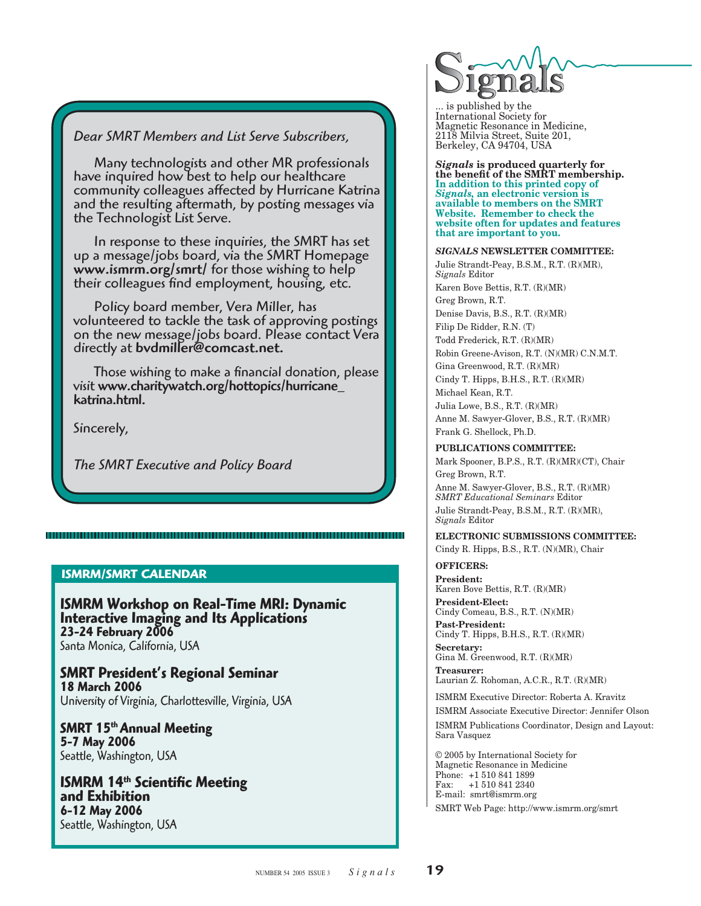### *Dear SMRT Members and List Serve Subscribers,*

Many technologists and other MR professionals have inquired how best to help our healthcare community colleagues affected by Hurricane Katrina and the resulting aftermath, by posting messages via the Technologist List Serve.

In response to these inquiries, the SMRT has set<br>up a message/jobs board, via the SMRT Homepage<br>www.ismrm.org/smrt/ for those wishing to help their colleagues find employment, housing, etc.

Policy board member, Vera Miller, has volunteered to tackle the task of approving postings on the new message/jobs board. Please contact Vera directly at bvdmiller@comcast.net.

Those wishing to make a financial donation, please visit www.charitywatch.org/hottopics/hurricane\_<br>katrina.html.

Sincerely,

*The SMRT Executive and Policy Board*

### **ISMRM/SMRT CALENDAR**

**ISMRM Workshop on Real-Time MRI: Dynamic Interactive Imaging and Its Applications 23-24 February 2006** Santa Monica, California, USA

**SMRT President's Regional Seminar 18 March 2006** University of Virginia, Charlottesville, Virginia, USA

**SMRT 15th Annual Meeting 5-7 May 2006**  Seattle, Washington, USA

**ISMRM 14<sup>th</sup> Scientific Meeting<br>and Exhibition 6-12 May 2006**  Seattle, Washington, USA



... is published by the International Society for Magnetic Resonance in Medicine, 2118 Milvia Street, Suite 201, Berkeley, CA 94704, USA

*Signals* **is produced quarterly for the benefi t of the SMRT membership. In addition to this printed copy of**  *Signals,* **an electronic version is available to members on the SMRT Website. Remember to check the website often for updates and features that are important to you.** 

#### *SIGNALS* **NEWSLETTER COMMITTEE:**

Julie Strandt-Peay, B.S.M., R.T. (R)(MR), *Signals* Editor

Karen Bove Bettis, R.T. (R)(MR) Greg Brown, R.T. Denise Davis, B.S., R.T. (R)(MR)

Filip De Ridder, R.N. (T) Todd Frederick, R.T. (R)(MR) Robin Greene-Avison, R.T. (N)(MR) C.N.M.T.

Gina Greenwood, R.T. (R)(MR) Cindy T. Hipps, B.H.S., R.T. (R)(MR) Michael Kean, R.T.

Julia Lowe, B.S., R.T. (R)(MR) Anne M. Sawyer-Glover, B.S., R.T. (R)(MR) Frank G. Shellock, Ph.D.

### **PUBLICATIONS COMMITTEE:**

Mark Spooner, B.P.S., R.T. (R)(MR)(CT), Chair Greg Brown, R.T.

Anne M. Sawyer-Glover, B.S., R.T. (R)(MR) *SMRT Educational Seminars* Editor Julie Strandt-Peay, B.S.M., R.T. (R)(MR), *Signals* Editor

### **ELECTRONIC SUBMISSIONS COMMITTEE:**

Cindy R. Hipps, B.S., R.T. (N)(MR), Chair

# **OFFICERS:**

**President:**  Karen Bove Bettis, R.T. (R)(MR) **President-Elect:** Cindy Comeau, B.S., R.T. (N)(MR) **Past-President:** 

Cindy T. Hipps, B.H.S., R.T. (R)(MR) **Secretary:** 

Gina M. Greenwood, R.T. (R)(MR) **Treasurer:**

Laurian Z. Rohoman, A.C.R., R.T. (R)(MR)

ISMRM Executive Director: Roberta A. Kravitz

ISMRM Associate Executive Director: Jennifer Olson ISMRM Publications Coordinator, Design and Layout: Sara Vasquez

© 2005 by International Society for Magnetic Resonance in Medicine Phone: +1 510 841 1899 Fax: +1 510 841 2340 E-mail: smrt@ismrm.org

SMRT Web Page: http://www.ismrm.org/smrt